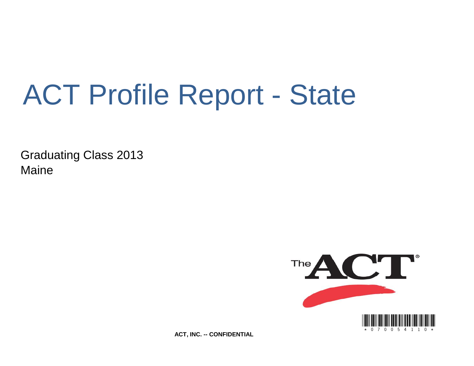# ACT Profile Report - State

Graduating Class 2013 Maine



**ACT, INC. -- CONFIDENTIAL**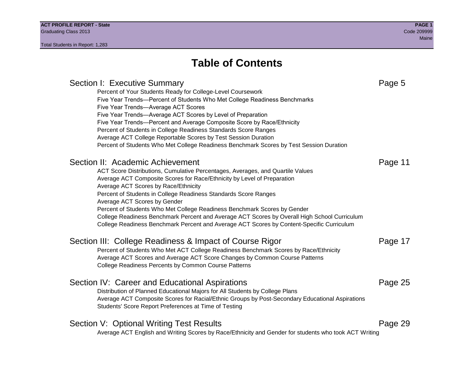### **Table of Contents**

| Section I: Executive Summary                                                                          | Page 5  |
|-------------------------------------------------------------------------------------------------------|---------|
| Percent of Your Students Ready for College-Level Coursework                                           |         |
| Five Year Trends-Percent of Students Who Met College Readiness Benchmarks                             |         |
| Five Year Trends-Average ACT Scores                                                                   |         |
| Five Year Trends—Average ACT Scores by Level of Preparation                                           |         |
| Five Year Trends-Percent and Average Composite Score by Race/Ethnicity                                |         |
| Percent of Students in College Readiness Standards Score Ranges                                       |         |
| Average ACT College Reportable Scores by Test Session Duration                                        |         |
| Percent of Students Who Met College Readiness Benchmark Scores by Test Session Duration               |         |
| Section II: Academic Achievement                                                                      | Page 11 |
| ACT Score Distributions, Cumulative Percentages, Averages, and Quartile Values                        |         |
| Average ACT Composite Scores for Race/Ethnicity by Level of Preparation                               |         |
| Average ACT Scores by Race/Ethnicity                                                                  |         |
| Percent of Students in College Readiness Standards Score Ranges                                       |         |
| Average ACT Scores by Gender                                                                          |         |
| Percent of Students Who Met College Readiness Benchmark Scores by Gender                              |         |
| College Readiness Benchmark Percent and Average ACT Scores by Overall High School Curriculum          |         |
| College Readiness Benchmark Percent and Average ACT Scores by Content-Specific Curriculum             |         |
| Section III: College Readiness & Impact of Course Rigor                                               | Page 17 |
| Percent of Students Who Met ACT College Readiness Benchmark Scores by Race/Ethnicity                  |         |
| Average ACT Scores and Average ACT Score Changes by Common Course Patterns                            |         |
| College Readiness Percents by Common Course Patterns                                                  |         |
|                                                                                                       |         |
| Section IV: Career and Educational Aspirations                                                        | Page 25 |
| Distribution of Planned Educational Majors for All Students by College Plans                          |         |
| Average ACT Composite Scores for Racial/Ethnic Groups by Post-Secondary Educational Aspirations       |         |
| Students' Score Report Preferences at Time of Testing                                                 |         |
| Section V: Optional Writing Test Results                                                              | Page 29 |
|                                                                                                       |         |
| Average ACT English and Writing Scores by Race/Ethnicity and Gender for students who took ACT Writing |         |
|                                                                                                       |         |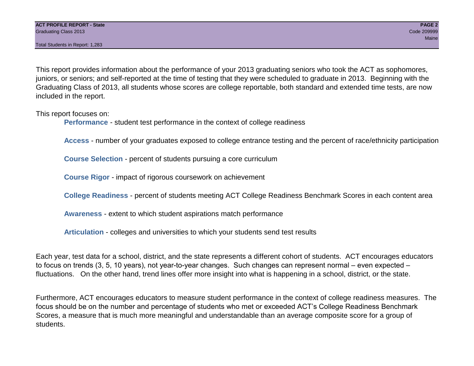Total Students in Report: 1,283

This report provides information about the performance of your 2013 graduating seniors who took the ACT as sophomores, juniors, or seniors; and self-reported at the time of testing that they were scheduled to graduate in 2013. Beginning with the Graduating Class of 2013, all students whose scores are college reportable, both standard and extended time tests, are now included in the report.

This report focuses on:

**Performance** - student test performance in the context of college readiness

**Access** - number of your graduates exposed to college entrance testing and the percent of race/ethnicity participation

**Course Selection** - percent of students pursuing a core curriculum

**Course Rigor** - impact of rigorous coursework on achievement

**College Readiness** - percent of students meeting ACT College Readiness Benchmark Scores in each content area

**Awareness** - extent to which student aspirations match performance

**Articulation** - colleges and universities to which your students send test results

Each year, test data for a school, district, and the state represents a different cohort of students. ACT encourages educators to focus on trends (3, 5, 10 years), not year-to-year changes. Such changes can represent normal – even expected – fluctuations. On the other hand, trend lines offer more insight into what is happening in a school, district, or the state.

Furthermore, ACT encourages educators to measure student performance in the context of college readiness measures. The focus should be on the number and percentage of students who met or exceeded ACT's College Readiness Benchmark Scores, a measure that is much more meaningful and understandable than an average composite score for a group of students.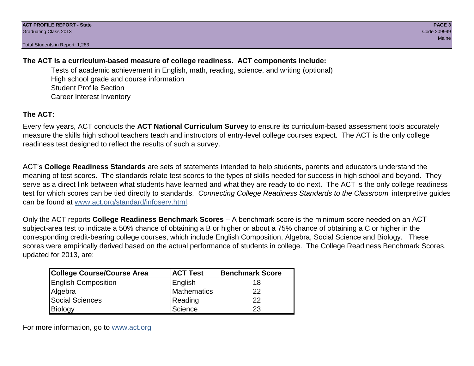Total Students in Report: 1,283

#### **The ACT is a curriculum-based measure of college readiness. ACT components include:**

Tests of academic achievement in English, math, reading, science, and writing (optional) High school grade and course information Student Profile Section Career Interest Inventory

#### **The ACT:**

Every few years, ACT conducts the **ACT National Curriculum Survey** to ensure its curriculum-based assessment tools accurately measure the skills high school teachers teach and instructors of entry-level college courses expect. The ACT is the only college readiness test designed to reflect the results of such a survey.

ACT's **College Readiness Standards** are sets of statements intended to help students, parents and educators understand the meaning of test scores. The standards relate test scores to the types of skills needed for success in high school and beyond. They serve as a direct link between what students have learned and what they are ready to do next. The ACT is the only college readiness test for which scores can be tied directly to standards. *Connecting College Readiness Standards to the Classroom* interpretive guides can be found at www.act.org/standard/infoserv.html.

Only the ACT reports **College Readiness Benchmark Scores** – A benchmark score is the minimum score needed on an ACT subject-area test to indicate a 50% chance of obtaining a B or higher or about a 75% chance of obtaining a C or higher in the corresponding credit-bearing college courses, which include English Composition, Algebra, Social Science and Biology. These scores were empirically derived based on the actual performance of students in college. The College Readiness Benchmark Scores, updated for 2013, are:

| College Course/Course Area | <b>ACT Test</b> | <b>Benchmark Score</b> |
|----------------------------|-----------------|------------------------|
| <b>English Composition</b> | English         | 18                     |
| Algebra                    | Mathematics     | 22                     |
| <b>Social Sciences</b>     | Reading         | 22                     |
| Biology                    | Science         | 23                     |

For more information, go to www.act.org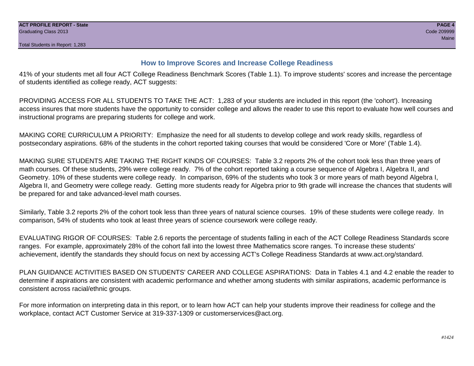#### **How to Improve Scores and Increase College Readiness**

41% of your students met all four ACT College Readiness Benchmark Scores (Table 1.1). To improve students' scores and increase the percentage of students identified as college ready, ACT suggests:

PROVIDING ACCESS FOR ALL STUDENTS TO TAKE THE ACT: 1,283 of your students are included in this report (the 'cohort'). Increasing access insures that more students have the opportunity to consider college and allows the reader to use this report to evaluate how well courses and instructional programs are preparing students for college and work.

MAKING CORE CURRICULUM A PRIORITY: Emphasize the need for all students to develop college and work ready skills, regardless of postsecondary aspirations. 68% of the students in the cohort reported taking courses that would be considered 'Core or More' (Table 1.4).

MAKING SURE STUDENTS ARE TAKING THE RIGHT KINDS OF COURSES: Table 3.2 reports 2% of the cohort took less than three years of math courses. Of these students, 29% were college ready. 7% of the cohort reported taking a course sequence of Algebra I, Algebra II, and Geometry. 10% of these students were college ready. In comparison, 69% of the students who took 3 or more years of math beyond Algebra I, Algebra II, and Geometry were college ready. Getting more students ready for Algebra prior to 9th grade will increase the chances that students will be prepared for and take advanced-level math courses.

Similarly, Table 3.2 reports 2% of the cohort took less than three years of natural science courses. 19% of these students were college ready. In comparison, 54% of students who took at least three years of science coursework were college ready.

EVALUATING RIGOR OF COURSES: Table 2.6 reports the percentage of students falling in each of the ACT College Readiness Standards score ranges. For example, approximately 28% of the cohort fall into the lowest three Mathematics score ranges. To increase these students' achievement, identify the standards they should focus on next by accessing ACT's College Readiness Standards at www.act.org/standard.

PLAN GUIDANCE ACTIVITIES BASED ON STUDENTS' CAREER AND COLLEGE ASPIRATIONS: Data in Tables 4.1 and 4.2 enable the reader to determine if aspirations are consistent with academic performance and whether among students with similar aspirations, academic performance is consistent across racial/ethnic groups.

For more information on interpreting data in this report, or to learn how ACT can help your students improve their readiness for college and the workplace, contact ACT Customer Service at 319-337-1309 or customerservices@act.org.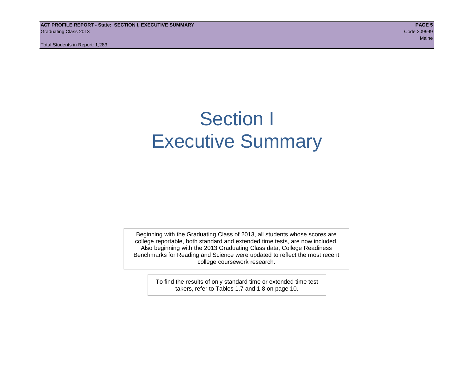**ACT PROFILE REPORT - State: SECTION I, EXECUTIVE SUMMARY PAGE 5** Graduating Class 2013 Code 209999

Total Students in Report: 1,283

### Section I Executive Summary

Beginning with the Graduating Class of 2013, all students whose scores are college reportable, both standard and extended time tests, are now included. Also beginning with the 2013 Graduating Class data, College Readiness Benchmarks for Reading and Science were updated to reflect the most recent college coursework research.

> To find the results of only standard time or extended time test takers, refer to Tables 1.7 and 1.8 on page 10.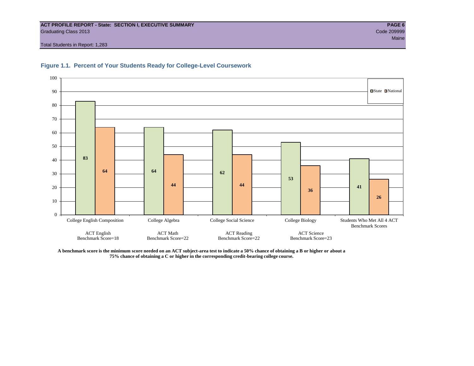#### **ACT PROFILE REPORT - State: SECTION I, EXECUTIVE SUMMARY PAGE 6** Graduating Class 2013 Code 209999

Total Students in Report: 1,283





**A benchmark score is the minimum score needed on an ACT subject-area test to indicate a 50% chance of obtaining a B or higher or about a 75% chance of obtaining a C or higher in the corresponding credit-bearing college course.**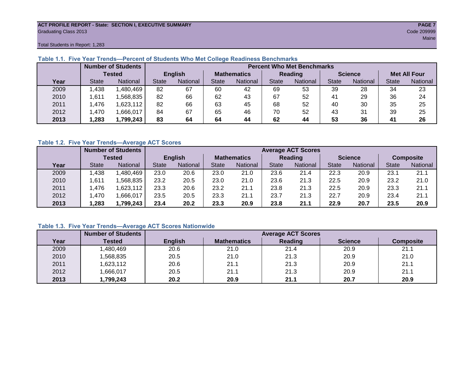#### **ACT PROFILE REPORT - State: SECTION I, EXECUTIVE SUMMARY PAGE 7** Graduating Class 2013 Code 209999

Total Students in Report: 1,283

|      |               | <b>Number of Students</b><br><b>Percent Who Met Benchmarks</b> |                |          |                    |                 |              |          |                |          |                     |          |
|------|---------------|----------------------------------------------------------------|----------------|----------|--------------------|-----------------|--------------|----------|----------------|----------|---------------------|----------|
|      | <b>Tested</b> |                                                                | <b>English</b> |          | <b>Mathematics</b> |                 | Reading      |          | <b>Science</b> |          | <b>Met All Four</b> |          |
| Year | <b>State</b>  | <b>National</b>                                                | <b>State</b>   | National | State              | <b>National</b> | <b>State</b> | National | <b>State</b>   | National | <b>State</b>        | National |
| 2009 | .438          | ,480,469                                                       | 82             | 67       | 60                 | 42              | 69           | 53       | 39             | 28       | 34                  | 23       |
| 2010 | .611          | ,568,835                                                       | 82             | 66       | 62                 | 43              | 67           | 52       | 41             | 29       | 36                  | 24       |
| 2011 | .476          | ,623,112                                                       | 82             | 66       | 63                 | 45              | 68           | 52       | 40             | 30       | 35                  | 25       |
| 2012 | .470          | .666,017                                                       | 84             | 67       | 65                 | 46              | 70           | 52       | 43             | 31       | 39                  | 25       |
| 2013 | .283          | 1,799,243                                                      | 83             | 64       | 64                 | 44              | 62           | 44       | 53             | 36       | 41                  | 26       |

#### **Table 1.1. Five Year Trends—Percent of Students Who Met College Readiness Benchmarks**

#### **Table 1.2. Five Year Trends—Average ACT Scores**

|      |               | <b>Number of Students</b> | <b>Average ACT Scores</b> |          |                    |                 |                |                 |                |          |                  |          |  |
|------|---------------|---------------------------|---------------------------|----------|--------------------|-----------------|----------------|-----------------|----------------|----------|------------------|----------|--|
|      | <b>Tested</b> |                           | <b>English</b>            |          | <b>Mathematics</b> |                 | <b>Reading</b> |                 | <b>Science</b> |          | <b>Composite</b> |          |  |
| Year | <b>State</b>  | <b>National</b>           | <b>State</b>              | National | State              | <b>National</b> | <b>State</b>   | <b>National</b> | <b>State</b>   | National | <b>State</b>     | National |  |
| 2009 | .438          | .480,469                  | 23.0                      | 20.6     | 23.0               | 21.0            | 23.6           | 21.4            | 22.3           | 20.9     | 23.1             | 21.1     |  |
| 2010 | ,611          | .568.835                  | 23.2                      | 20.5     | 23.0               | 21.0            | 23.6           | 21.3            | 22.5           | 20.9     | 23.2             | 21.0     |  |
| 2011 | .476          | .623,112                  | 23.3                      | 20.6     | 23.2               | 21.1            | 23.8           | 21.3            | 22.5           | 20.9     | 23.3             | 21.1     |  |
| 2012 | ,470          | .666,017                  | 23.5                      | 20.5     | 23.3               | 21.1            | 23.7           | 21.3            | 22.7           | 20.9     | 23.4             | 21.1     |  |
| 2013 | .283          | ,799,243                  | 23.4                      | 20.2     | 23.3               | 20.9            | 23.8           | 21.1            | 22.9           | 20.7     | 23.5             | 20.9     |  |

#### **Table 1.3. Five Year Trends—Average ACT Scores Nationwide**

|      | <b>Number of Students</b> | <b>Average ACT Scores</b> |                    |         |                |                  |  |  |  |  |
|------|---------------------------|---------------------------|--------------------|---------|----------------|------------------|--|--|--|--|
| Year | Tested                    | <b>English</b>            | <b>Mathematics</b> | Reading | <b>Science</b> | <b>Composite</b> |  |  |  |  |
| 2009 | ,480,469                  | 20.6                      | 21.0               | 21.4    | 20.9           | 21.1             |  |  |  |  |
| 2010 | ,568,835                  | 20.5                      | 21.0               | 21.3    | 20.9           | 21.0             |  |  |  |  |
| 2011 | ,623,112                  | 20.6                      | 21.1               | 21.3    | 20.9           | 21.1             |  |  |  |  |
| 2012 | ,666,017                  | 20.5                      | 21.1               | 21.3    | 20.9           | 21.1             |  |  |  |  |
| 2013 | ,799,243                  | 20.2                      | 20.9               | 21.1    | 20.7           | 20.9             |  |  |  |  |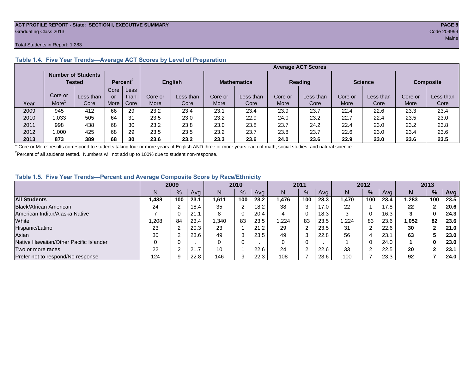#### **ACT PROFILE REPORT - State: SECTION I, EXECUTIVE SUMMARY PAGE 8** Graduating Class 2013 Code 209999

#### Total Students in Report: 1,283

|      |                                     |           |                      |      |             |                |         |                    | <b>Average ACT Scores</b> |           |                |           |                |                  |  |
|------|-------------------------------------|-----------|----------------------|------|-------------|----------------|---------|--------------------|---------------------------|-----------|----------------|-----------|----------------|------------------|--|
|      | <b>Number of Students</b><br>Tested |           | Percent <sup>2</sup> |      |             | <b>English</b> |         | <b>Mathematics</b> |                           |           | <b>Reading</b> |           | <b>Science</b> | <b>Composite</b> |  |
|      |                                     |           | Core                 | Less |             |                |         |                    |                           |           |                |           |                |                  |  |
|      | Core or                             | Less than | or                   | than | Core or     | Less than      | Core or | Less than          | Core or                   | Less than | Core or        | Less than | Core or        | Less than        |  |
| Year | More                                | Core      | More                 | Core | <b>More</b> | Core           | More    | Core               | More                      | Core      | More           | Core      | More           | Core             |  |
| 2009 | 945                                 | 412       | 66                   | 29   | 23.2        | 23.4           | 23.1    | 23.4               | 23.9                      | 23.7      | 22.4           | 22.6      | 23.3           | 23.4             |  |
| 2010 | 1,033                               | 505       | 64                   | 31   | 23.5        | 23.0           | 23.2    | 22.9               | 24.0                      | 23.2      | 22.7           | 22.4      | 23.5           | 23.0             |  |
| 2011 | 998                                 | 438       | 68                   | 30   | 23.2        | 23.8           | 23.0    | 23.8               | 23.7                      | 24.2      | 22.4           | 23.0      | 23.2           | 23.8             |  |
| 2012 | 000,                                | 425       | 68                   | 29   | 23.5        | 23.5           | 23.2    | 23.7               | 23.8                      | 23.7      | 22.6           | 23.0      | 23.4           | 23.6             |  |
| 2013 | 873                                 | 389       | 68                   | 30   | 23.6        | 23.2           | 23.3    | 23.6               | 24.0                      | 23.6      | 22.9           | 23.0      | 23.6           | 23.5             |  |

#### **Table 1.4. Five Year Trends—Average ACT Scores by Level of Preparation**

<sup>1</sup>"Core or More" results correspond to students taking four or more years of English AND three or more years each of math, social studies, and natural science.

 $2$ Percent of all students tested. Numbers will not add up to 100% due to student non-response.

#### **Table 1.5. Five Year Trends—Percent and Average Composite Score by Race/Ethnicity**

|                                        |       | 2009 |      |       | 2010          |      |       | 2011   |      | 2012  |     |      | 2013  |            |      |
|----------------------------------------|-------|------|------|-------|---------------|------|-------|--------|------|-------|-----|------|-------|------------|------|
|                                        | N     | %    | Avg  | N     | $\frac{9}{6}$ | Avg  | N     | %      | Avg  | Ν     | %   | Ava  | N     | %          | Avg  |
| <b>All Students</b>                    | 1,438 | 100  | 23.1 | 1.611 | 100           | 23.2 | 476,، | 100    | 23.3 | 1.470 | 100 | 23.4 | 283.  | 100        | 23.5 |
| Black/African American                 | 24    |      | 18.4 | 35    | າ             | 18.2 | 38    | 3      | 17.0 | 22    |     | 17.8 | 22    |            | 20.6 |
| American Indian/Alaska Native          |       |      | 21.1 | 8     | 0             | 20.4 | 4     | 0      | 18.3 | 3     |     | 16.3 | 3     | 0          | 24.3 |
| White                                  | ,208  | 84   | 23.4 | .340  | 83            | 23.5 | ,224  | 83     | 23.5 | .224  | 83  | 23.6 | 1,052 | 82         | 23.6 |
| Hispanic/Latino                        | 23    |      | 20.3 | 23    |               | 21.2 | 29    | ົ      | 23.5 | 31    |     | 22.6 | 30    |            | 21.0 |
| Asian                                  | 30    |      | 23.6 | 49    | 3             | 23.5 | 49    | 3      | 22.8 | 56    | 4   | 23.7 | 63    |            | 23.0 |
| Native Hawaiian/Other Pacific Islander |       |      |      | 0     | 0             |      |       | 0      |      |       |     | 24.0 |       | 0          | 23.0 |
| Two or more races                      | 22    |      | 21.7 | 10    |               | 22.6 | 24    | $\sim$ | 22.6 | 33    |     | 22.5 | 20    | $\sqrt{2}$ | 23.1 |
| Prefer not to respond/No response      | 124   |      | 22.8 | 146   | 9             | 22.3 | 108   |        | 23.6 | 100   |     | 23.3 | 92    |            | 24.0 |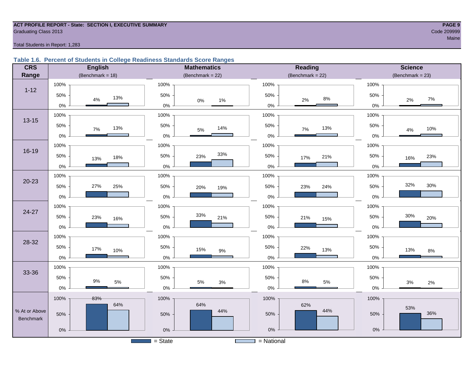#### **ACT PROFILE REPORT - State: SECTION I, EXECUTIVE SUMMARY PAGE 9** Code 209999 Craduating Class 2013 Code 209999 Code 200999 Code 200999 Code 200999 Code 200999 Code 200999 Code 200999 Code 200999 Code 200999 Code 200999 Code 200999 Code 200999 Code 200999 Code 200999 Code 200999 Code 200

Total Students in Report: 1,283

#### **Table 1.6. Percent of Students in College Readiness Standards Score Ranges**

| <b>CRS</b>                 |       | <b>English</b>      |           | <b>Mathematics</b>  |                          |              | <b>Reading</b>      |       | <b>Science</b>     |
|----------------------------|-------|---------------------|-----------|---------------------|--------------------------|--------------|---------------------|-------|--------------------|
| Range                      |       | (Benchmark = $18$ ) |           | (Benchmark = $22$ ) |                          |              | (Benchmark = $22$ ) |       | $(Benchmark = 23)$ |
|                            | 100%  |                     | 100%      |                     |                          | 100%         |                     | 100%  |                    |
| $1 - 12$                   | 50%   | 13%<br>$4\%$        | 50%       | $0\%$               | 1%                       | 50%          | $8\%$<br>$2\%$      | 50%   | 7%<br>2%           |
|                            | $0\%$ |                     | $0\%$     |                     |                          | $0\%$        |                     | 0%    |                    |
| $13 - 15$                  | 100%  |                     | 100%      |                     |                          | 100%         |                     | 100%  |                    |
|                            | 50%   | 13%<br>$7\%$        | 50%       | $5\%$               | 14%                      | 50%          | 13%<br>$7\%$        | 50%   | 10%<br>4%          |
|                            | $0\%$ |                     | $0\%$     |                     |                          | $0\%$        |                     | $0\%$ |                    |
|                            | 100%  |                     | 100%      |                     |                          | 100%         |                     | 100%  |                    |
| $16 - 19$                  | 50%   | 18%<br>13%          | 50%       | 23%                 | 33%                      | 50%          | 21%<br>17%          | 50%   | 23%<br>16%         |
|                            | 0%    |                     | $0\%$     |                     |                          | $0\%$        |                     | 0%    |                    |
|                            | 100%  |                     | 100%      |                     |                          | 100%         |                     | 100%  |                    |
| $20 - 23$                  | 50%   | 27%<br>25%          | 50%       | 20%                 | 19%                      | 50%          | 24%<br>23%          | 50%   | 32%<br>30%         |
|                            | 0%    |                     | $0\%$     |                     |                          | $0\%$        |                     | 0%    |                    |
|                            | 100%  |                     | 100%      |                     |                          | 100%         |                     | 100%  |                    |
| $24 - 27$                  | 50%   | 23%<br>16%          | 50%       | 33%                 | 21%                      | 50%          | 21%<br>15%          | 50%   | 30%<br>20%         |
|                            | $0\%$ |                     | 0%        |                     |                          | $0\%$        |                     | 0%    |                    |
|                            | 100%  |                     | 100%      |                     |                          | 100%         |                     | 100%  |                    |
| 28-32                      | 50%   | 17%                 | 50%       | 15%                 |                          | 50%          | 22%<br>13%          | 50%   | 13%                |
|                            | $0\%$ | 10%                 | $0\%$     |                     | $9\%$                    | $0\%$        |                     | 0%    | $8\%$              |
|                            | 100%  |                     | 100%      |                     |                          | 100%         |                     | 100%  |                    |
| 33-36                      | 50%   |                     | 50%       |                     |                          | 50%          |                     | 50%   |                    |
|                            | $0\%$ | $9\%$<br>$5\%$      | 0%        | $5\%$               | $3%$                     | $0\%$        | $8\%$<br>$5\%$      | $0\%$ | $3%$<br>$2\%$      |
|                            | 100%  | 83%                 | 100%      |                     |                          | 100%         |                     | 100%  |                    |
|                            |       | 64%                 |           | 64%                 |                          |              | 62%                 |       | 53%                |
| % At or Above<br>Benchmark | 50%   |                     | 50%       |                     | 44%                      | 50%          | 44%                 | 50%   | 36%                |
|                            |       |                     |           |                     |                          |              |                     |       |                    |
|                            | $0\%$ |                     | $0\%$     |                     |                          | $0\%$        |                     | $0\%$ |                    |
|                            |       |                     | $=$ State |                     | <b>Contract Contract</b> | $=$ National |                     |       |                    |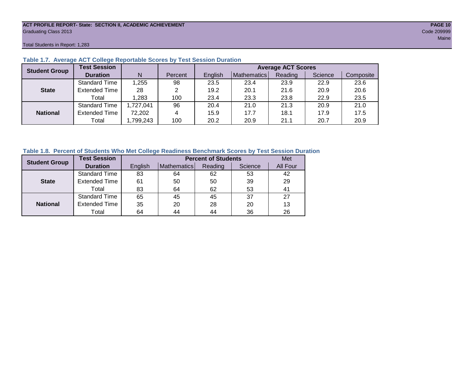#### **ACT PROFILE REPORT- State: SECTION II, ACADEMIC ACHIEVEMENT PAGE 10** Graduating Class 2013 Code 209999

Total Students in Report: 1,283

| <b>Student Group</b> | <b>Test Session</b>  |          |         | <b>Average ACT Scores</b> |             |         |         |           |  |  |
|----------------------|----------------------|----------|---------|---------------------------|-------------|---------|---------|-----------|--|--|
|                      | <b>Duration</b>      | N        | Percent | English                   | Mathematics | Reading | Science | Composite |  |  |
|                      | <b>Standard Time</b> | 1,255    | 98      | 23.5                      | 23.4        | 23.9    | 22.9    | 23.6      |  |  |
| <b>State</b>         | <b>Extended Time</b> | 28       | 2       | 19.2                      | 20.1        | 21.6    | 20.9    | 20.6      |  |  |
|                      | Total                | 1,283    | 100     | 23.4                      | 23.3        | 23.8    | 22.9    | 23.5      |  |  |
|                      | <b>Standard Time</b> | ,727,041 | 96      | 20.4                      | 21.0        | 21.3    | 20.9    | 21.0      |  |  |
| <b>National</b>      | <b>Extended Time</b> | 72,202   | 4       | 15.9                      | 17.7        | 18.1    | 17.9    | 17.5      |  |  |
|                      | Total                | ,799,243 | 100     | 20.2                      | 20.9        | 21.1    | 20.7    | 20.9      |  |  |

#### **Table 1.7. Average ACT College Reportable Scores by Test Session Duration**

#### **Table 1.8. Percent of Students Who Met College Readiness Benchmark Scores by Test Session Duration**

| <b>Student Group</b> | <b>Test Session</b>  |         | <b>Percent of Students</b> | Met     |         |          |
|----------------------|----------------------|---------|----------------------------|---------|---------|----------|
|                      | <b>Duration</b>      | English | Mathematics                | Reading | Science | All Four |
|                      | <b>Standard Time</b> | 83      | 64                         | 62      | 53      | 42       |
| <b>State</b>         | <b>Extended Time</b> | 61      | 50                         | 50      | 39      | 29       |
|                      | Total                | 83      | 64                         | 62      | 53      | 41       |
|                      | <b>Standard Time</b> | 65      | 45                         | 45      | 37      | 27       |
| <b>National</b>      | <b>Extended Time</b> | 35      | 20                         | 28      | 20      | 13       |
|                      | Total                | 64      | 44                         | 44      | 36      | 26       |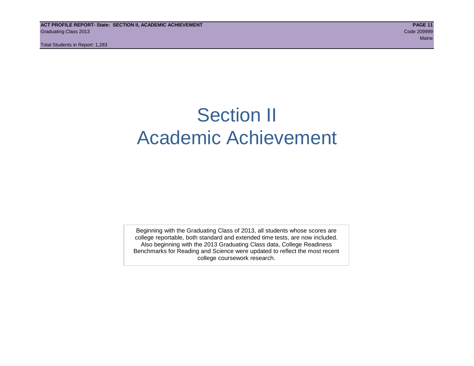**ACT PROFILE REPORT- State: SECTION II, ACADEMIC ACHIEVEMENT PAGE 11** Graduating Class 2013 Code 209999

Total Students in Report: 1,283

### Section II Academic Achievement

Beginning with the Graduating Class of 2013, all students whose scores are college reportable, both standard and extended time tests, are now included. Also beginning with the 2013 Graduating Class data, College Readiness Benchmarks for Reading and Science were updated to reflect the most recent college coursework research.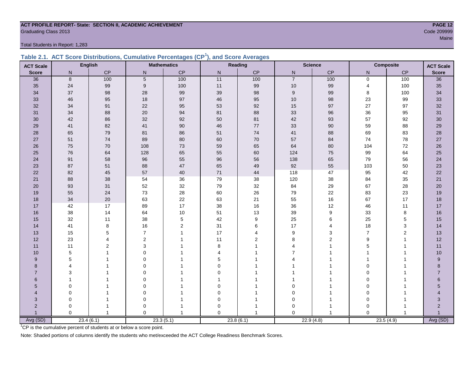#### **ACT PROFILE REPORT- State: SECTION II, ACADEMIC ACHIEVEMENT PAGE 12** Code 209999 Code 2009999 Code 2009999 Code 2009999 Code 200999 Code 200999 Code 200999 Code 200999 Code 200999 Code 200999 Code 200999 Code 2009 Code 2009 Code 2009 Code 2009 Code 2009 Code 2009 Code 2009 Code 2009 Code 20

Total Students in Report: 1,283

|  | Table 2.1. ACT Score Distributions, Cumulative Percentages (CP <sup>1</sup> ), and Score Averages |  |  |  |
|--|---------------------------------------------------------------------------------------------------|--|--|--|
|  |                                                                                                   |  |  |  |

| <b>ACT Scale</b> |              | <b>English</b> |                | <b>Mathematics</b> | Reading<br><b>Science</b><br><b>Composite</b> |                |                | <b>ACT Scale</b> |                |              |                  |
|------------------|--------------|----------------|----------------|--------------------|-----------------------------------------------|----------------|----------------|------------------|----------------|--------------|------------------|
| <b>Score</b>     | $\mathsf{N}$ | CP             | $\mathsf{N}$   | CP                 | N                                             | CP             | $\mathsf{N}$   | CP               | N              | CP           | <b>Score</b>     |
| 36               | 8            | 100            | $\overline{5}$ | 100                | 11                                            | 100            | $\overline{7}$ | 100              | $\mathbf 0$    | 100          | 36               |
| 35               | 24           | 99             | 9              | 100                | 11                                            | 99             | 10             | 99               | $\overline{4}$ | 100          | 35               |
| 34               | 37           | 98             | 28             | 99                 | 39                                            | 98             | 9              | 99               | 8              | 100          | 34               |
| 33               | 46           | 95             | 18             | 97                 | 46                                            | 95             | 10             | 98               | 23             | 99           | 33               |
| 32               | 34           | 91             | 22             | 95                 | 53                                            | 92             | 15             | 97               | 27             | 97           | 32               |
| 31               | 34           | 88             | $20\,$         | 94                 | 81                                            | 88             | 33             | 96               | $36\,$         | 95           | 31               |
| 30               | 42           | 86             | 32             | 92                 | 50                                            | 81             | 42             | 93               | 57             | 92           | $30\,$           |
| 29               | 41           | 82             | 41             | $90\,$             | 46                                            | 77             | 33             | $90\,$           | 59             | 88           | 29               |
| 28               | 65           | 79             | 81             | 86                 | 51                                            | 74             | 41             | 88               | 69             | 83           | 28               |
| 27               | 51           | 74             | 89             | $80\,$             | 60                                            | $70\,$         | 57             | 84               | 74             | 78           | 27               |
| 26               | 75           | 70             | 108            | 73                 | 59                                            | 65             | 64             | 80               | 104            | $72\,$       | 26               |
| 25               | 76           | 64             | 128            | 65                 | 55                                            | 60             | 124            | 75               | 99             | 64           | 25               |
| 24               | 91           | 58             | 96             | 55                 | 96                                            | 56             | 138            | 65               | 79             | 56           | 24               |
| 23               | 87           | 51             | 88             | $47\,$             | 65                                            | 49             | 92             | 55               | 103            | 50           | 23               |
| 22               | 82           | 45             | 57             | 40                 | $71$                                          | 44             | 118            | 47               | 95             | 42           | 22               |
| 21               | 88           | 38             | 54             | 36                 | 79                                            | 38             | 120            | 38               | 84             | 35           | 21               |
| 20               | 93           | 31             | 52             | 32                 | 79                                            | 32             | 84             | 29               | 67             | 28           | 20               |
| 19               | 55           | 24             | 73             | 28                 | 60                                            | 26             | 79             | 22               | 83             | 23           | 19               |
| 18               | 34           | 20             | 63             | 22                 | 63                                            | 21             | 55             | 16               | 67             | 17           | 18               |
| 17               | 42           | 17             | 89             | 17                 | 38                                            | 16             | 36             | 12               | 46             | 11           | $17$             |
| 16               | 38           | 14             | 64             | $10$               | 51                                            | 13             | 39             | 9                | 33             | 8            | 16               |
| 15               | 32           | 11             | 38             | 5                  | 42                                            | 9              | 25             | 6                | 25             | 5            | 15               |
| 14               | 41           | 8              | 16             | 2                  | 31                                            | 6              | 17             | 4                | 18             | 3            | 14               |
| 13               | 15           | 5              | $\overline{7}$ | $\mathbf{1}$       | 17                                            | 4              | 9              | 3                | $\overline{7}$ | $\mathbf 2$  | 13               |
| 12               | 23           | 4              | $\overline{2}$ |                    | 11                                            | $\overline{2}$ | 8              | $\overline{2}$   | 9              | $\mathbf{1}$ | 12               |
| 11               | 11           | 2              | 3              |                    | 8                                             |                |                |                  | 5              | $\mathbf{1}$ | 11               |
| 10               | 5            |                | $\Omega$       |                    | 4                                             |                | 7              |                  |                | 1            | 10               |
| 9                | 5            |                | $\Omega$       |                    | 5                                             |                |                |                  |                | 1            | $\boldsymbol{9}$ |
| 8                | 4            |                | $\Omega$       |                    | 0                                             |                |                |                  | $\Omega$       | 1            | 8                |
| $\overline{7}$   | 3            |                | $\Omega$       |                    | $\Omega$                                      |                |                |                  | $\Omega$       |              | $\overline{7}$   |
| $6\phantom{1}$   |              |                | $\Omega$       |                    |                                               |                |                |                  | $\Omega$       |              | 6                |
| 5                | $\mathbf 0$  |                | $\Omega$       |                    | 0                                             |                | $\Omega$       |                  | $\Omega$       |              | $5\phantom{.0}$  |
| $\overline{4}$   | 0            |                | 0              |                    | 0                                             |                | $\Omega$       |                  | 0              |              |                  |
| 3                | 0            |                | 0              |                    | 0                                             |                | $\mathbf 0$    |                  | $\mathbf 0$    | 1            | $\sqrt{3}$       |
| $\overline{2}$   | $\mathbf 0$  |                | 0              |                    | $\Omega$                                      |                | $\Omega$       |                  | $\mathbf 0$    |              | $\overline{c}$   |
| 1                | $\Omega$     | 1              | $\Omega$       |                    | $\Omega$                                      |                | $\Omega$       | 1                | $\mathbf 0$    | $\mathbf{1}$ | $\overline{1}$   |
| Avg (SD)         |              | 23.4(6.1)      |                | 23.3(5.1)          |                                               | 23.8(6.1)      |                | 22.9(4.8)        |                | 23.5(4.9)    | Avg (SD)         |

<sup>1</sup>CP is the cumulative percent of students at or below a score point.

Note: Shaded portions of columns identify the students who met/exceeded the ACT College Readiness Benchmark Scores.

Maine and the contract of the contract of the contract of the contract of the contract of the contract of the contract of the contract of the contract of the contract of the contract of the contract of the contract of the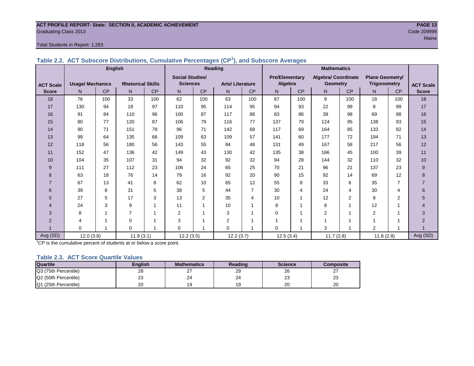#### **ACT PROFILE REPORT- State: SECTION II, ACADEMIC ACHIEVEMENT PAGE 13** Graduating Class 2013 Code 209999

#### Total Students in Report: 1,283

|                  |                         | <b>English</b> |                          |     |                        | Reading        |                        |                |                       | <b>Mathematics</b> |                            |           |                        |                |                  |
|------------------|-------------------------|----------------|--------------------------|-----|------------------------|----------------|------------------------|----------------|-----------------------|--------------------|----------------------------|-----------|------------------------|----------------|------------------|
|                  |                         |                |                          |     | <b>Social Studies/</b> |                |                        |                | <b>Pre/Elementary</b> |                    | <b>Algebra/ Coordinate</b> |           | <b>Plane Geometry/</b> |                |                  |
| <b>ACT Scale</b> | <b>Usage/ Mechanics</b> |                | <b>Rhetorical Skills</b> |     | <b>Sciences</b>        |                | <b>Arts/Literature</b> |                | Algebra               |                    | <b>Geometry</b>            |           | <b>Trigonometry</b>    |                | <b>ACT Scale</b> |
| <b>Score</b>     | N                       | <b>CP</b>      | N                        | CP  | N                      | <b>CP</b>      | N                      | <b>CP</b>      | N                     | <b>CP</b>          | N.                         | <b>CP</b> | N                      | <b>CP</b>      | <b>Score</b>     |
| 18               | 76                      | 100            | 33                       | 100 | 62                     | 100            | 63                     | 100            | 87                    | 100                | 9                          | 100       | 18                     | 100            | 18               |
| 17               | 130                     | 94             | 18                       | 97  | 110                    | 95             | 114                    | 95             | 94                    | 93                 | 22                         | 99        | 8                      | 99             | 17               |
| 16               | 91                      | 84             | 110                      | 96  | 100                    | 87             | 117                    | 86             | 83                    | 86                 | 39                         | 98        | 69                     | 98             | 16               |
| 15               | 80                      | 77             | 120                      | 87  | 106                    | 79             | 116                    | 77             | 137                   | 79                 | 124                        | 95        | 138                    | 93             | 15               |
| 14               | 90                      | 71             | 151                      | 78  | 96                     | 71             | 142                    | 68             | 117                   | 69                 | 164                        | 85        | 133                    | 82             | 14               |
| 13               | 99                      | 64             | 135                      | 66  | 109                    | 63             | 109                    | 57             | 141                   | 60                 | 177                        | 72        | 194                    | 71             | 13               |
| 12               | 118                     | 56             | 180                      | 56  | 143                    | 55             | 84                     | 48             | 131                   | 49                 | 167                        | 58        | 217                    | 56             | 12               |
| 11               | 152                     | 47             | 136                      | 42  | 149                    | 43             | 130                    | 42             | 135                   | 38                 | 166                        | 45        | 100                    | 39             | 11               |
| 10               | 104                     | 35             | 107                      | 31  | 94                     | 32             | 92                     | 32             | 94                    | 28                 | 144                        | 32        | 110                    | 32             | $10$             |
| 9                | 111                     | 27             | 112                      | 23  | 106                    | 24             | 65                     | 25             | 70                    | 21                 | 96                         | 21        | 137                    | 23             | 9                |
| 8                | 63                      | 18             | 76                       | 14  | 79                     | 16             | 92                     | 20             | 90                    | 15                 | 92                         | 14        | 69                     | 12             | 8                |
|                  | 67                      | 13             | 41                       | 8   | 62                     | 10             | 65                     | 12             | 55                    | 8                  | 33                         | 6         | 35                     | $\overline{7}$ | $\overline{7}$   |
| 6                | 39                      | 8              | 31                       | 5   | 38                     | 5              | 44                     | $\overline{7}$ | 30                    | 4                  | 24                         | 4         | 30                     | 4              | 6                |
| 5                | 27                      | 5              | 17                       | 3   | 13                     | $\overline{2}$ | 35                     | 4              | 10                    | 1                  | 12                         | 2         | 8                      | 2              | 5                |
| 4                | 24                      | 3              | 9                        |     | 11                     | 1              | 10                     | 1              | 8                     | 4                  | 8                          | 1         | 12                     |                | 4                |
| 3                | 8                       |                | $\overline{7}$           |     | $\overline{2}$         | 1              | 3                      | 1              | $\Omega$              |                    | 2                          |           | 2                      |                | 3                |
| $\overline{2}$   | 4                       |                | 0                        |     | 3                      |                | $\overline{2}$         | 1              |                       |                    |                            |           |                        |                | $\overline{2}$   |
|                  | $\mathbf 0$             |                | $\mathbf 0$              |     | $\mathbf 0$            |                | 0                      | 1              | $\Omega$              |                    | 3                          |           | 2                      |                |                  |
| Avg (SD)         | 12.0(3.8)               |                | 11.9(3.1)                |     | 12.2(3.5)              |                | 12.2(3.7)              |                | 12.5(3.4)             |                    | 11.7(2.8)                  |           | 11.8(2.8)              |                | Avg (SD)         |

**Table 2.2. ACT Subscore Distributions, Cumulative Percentages (CP<sup>1</sup> ), and Subscore Averages**

<sup>1</sup>CP is the cumulative percent of students at or below a score point.

#### **Table 2.3. ACT Score Quartile Values**

| Quartile             | <b>English</b> | <b>Mathematics</b> | Reading | <b>Science</b> | Composite |
|----------------------|----------------|--------------------|---------|----------------|-----------|
| Q3 (75th Percentile) | 28             | <u>.</u>           | 29      | 26             | - 1       |
| Q2 (50th Percentile) | 23             | 24                 | 24      | nn<br>د∠       | nn<br>د∠  |
| Q1 (25th Percentile) | 20             |                    |         | 20             | 20        |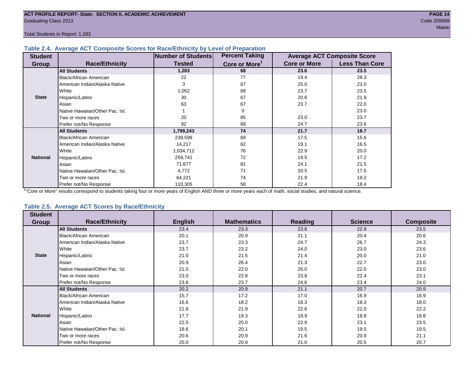Total Students in Report: 1,283

#### **Table 2.4. Average ACT Composite Scores for Race/Ethnicity by Level of Preparation**

| <b>Student</b>  |                                 | <b>Number of Students</b> | <b>Percent Taking</b>     |                     | <b>Average ACT Composite Score</b> |
|-----------------|---------------------------------|---------------------------|---------------------------|---------------------|------------------------------------|
| <b>Group</b>    | <b>Race/Ethnicity</b>           | <b>Tested</b>             | Core or More <sup>1</sup> | <b>Core or More</b> | <b>Less Than Core</b>              |
|                 | <b>All Students</b>             | 1,283                     | 68                        | 23.6                | 23.5                               |
|                 | <b>Black/African American</b>   | 22                        | 77                        | 19.4                | 28.3                               |
|                 | American Indian/Alaska Native   | 3                         | 67                        | 25.0                | 23.0                               |
|                 | White                           | 1,052                     | 68                        | 23.7                | 23.5                               |
| <b>State</b>    | Hispanic/Latino                 | 30                        | 67                        | 20.6                | 21.9                               |
|                 | Asian                           | 63                        | 67                        | 23.7                | 22.0                               |
|                 | Native Hawaiian/Other Pac. Isl. |                           | 0                         |                     | 23.0                               |
|                 | I Two or more races             | 20                        | 85                        | 23.0                | 23.7                               |
|                 | Prefer not/No Response          | 92                        | 68                        | 24.7                | 23.6                               |
|                 | <b>All Students</b>             | 1,799,243                 | 74                        | 21.7                | 18.7                               |
|                 | Black/African American          | 239,598                   | 69                        | 17.5                | 15.6                               |
|                 | American Indian/Alaska Native   | 14,217                    | 62                        | 19.1                | 16.5                               |
|                 | <b>White</b>                    | 1,034,712                 | 76                        | 22.9                | 20.0                               |
| <b>National</b> | Hispanic/Latino                 | 259,741                   | 72                        | 19.5                | 17.2                               |
|                 | Asian                           | 71,677                    | 81                        | 24.1                | 21.5                               |
|                 | Native Hawaiian/Other Pac. Isl. | 4,772                     | 71                        | 20.5                | 17.5                               |
|                 | Two or more races               | 64,221                    | 74                        | 21.9                | 19.2                               |
|                 | Prefer not/No Response          | 110,305                   | 58                        | 22.4                | 18.4                               |

<sup>1</sup>"Core or More" results correspond to students taking four or more years of English AND three or more years each of math, social studies, and natural science.

#### **Table 2.5. Average ACT Scores by Race/Ethnicity**

| <b>Student</b>  |                                 |                |                    |                |                |                  |
|-----------------|---------------------------------|----------------|--------------------|----------------|----------------|------------------|
| Group           | <b>Race/Ethnicity</b>           | <b>English</b> | <b>Mathematics</b> | <b>Reading</b> | <b>Science</b> | <b>Composite</b> |
|                 | <b>All Students</b>             | 23.4           | 23.3               | 23.8           | 22.9           | 23.5             |
|                 | Black/African American          | 20.1           | 20.9               | 21.1           | 20.4           | 20.6             |
|                 | American Indian/Alaska Native   | 23.7           | 23.3               | 24.7           | 26.7           | 24.3             |
|                 | White                           | 23.7           | 23.2               | 24.0           | 23.0           | 23.6             |
| <b>State</b>    | Hispanic/Latino                 | 21.0           | 21.5               | 21.4           | 20.0           | 21.0             |
|                 | Asian                           | 20.9           | 26.4               | 21.3           | 22.7           | 23.0             |
|                 | Native Hawaiian/Other Pac. Isl. | 21.0           | 22.0               | 26.0           | 22.0           | 23.0             |
|                 | Two or more races               | 23.0           | 22.8               | 23.8           | 22.4           | 23.1             |
|                 | Prefer not/No Response          | 23.6           | 23.7               | 24.6           | 23.4           | 24.0             |
|                 | <b>All Students</b>             | 20.2           | 20.9               | 21.1           | 20.7           | 20.9             |
|                 | <b>Black/African American</b>   | 15.7           | 17.2               | 17.0           | 16.9           | 16.9             |
|                 | American Indian/Alaska Native   | 16.6           | 18.2               | 18.3           | 18.3           | 18.0             |
|                 | White                           | 21.8           | 21.9               | 22.6           | 22.0           | 22.2             |
| <b>National</b> | Hispanic/Latino                 | 17.7           | 19.3               | 18.9           | 18.8           | 18.8             |
|                 | Asian                           | 22.5           | 25.0               | 22.9           | 23.1           | 23.5             |
|                 | Native Hawaiian/Other Pac. Isl. | 18.6           | 20.1               | 19.5           | 19.5           | 19.5             |
|                 | Two or more races               | 20.6           | 20.9               | 21.6           | 20.9           | 21.1             |
|                 | Prefer not/No Response          | 20.0           | 20.8               | 21.0           | 20.5           | 20.7             |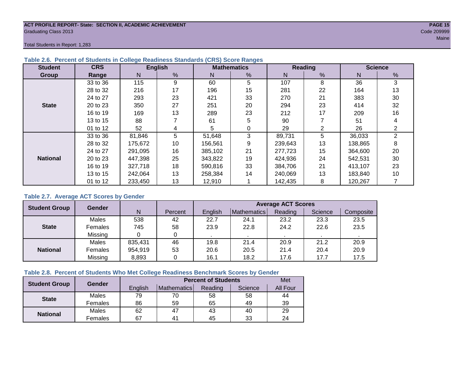#### **ACT PROFILE REPORT- State: SECTION II, ACADEMIC ACHIEVEMENT PAGE 15** Graduating Class 2013 Code 209999

Total Students in Report: 1,283

| <b>Student</b>  | <b>CRS</b> |         | <b>English</b> |         | <b>Mathematics</b> |         | <b>Reading</b> |         | <b>Science</b> |
|-----------------|------------|---------|----------------|---------|--------------------|---------|----------------|---------|----------------|
| Group           | Range      | N       | %              | N       | %                  | N       | %              | N       | %              |
|                 | 33 to 36   | 115     | 9              | 60      | 5                  | 107     | 8              | 36      | 3              |
|                 | 28 to 32   | 216     | 17             | 196     | 15                 | 281     | 22             | 164     | 13             |
|                 | 24 to 27   | 293     | 23             | 421     | 33                 | 270     | 21             | 383     | 30             |
| <b>State</b>    | 20 to 23   | 350     | 27             | 251     | 20                 | 294     | 23             | 414     | 32             |
|                 | 16 to 19   | 169     | 13             | 289     | 23                 | 212     | 17             | 209     | 16             |
|                 | 13 to 15   | 88      |                | 61      | 5                  | 90      |                | 51      | 4              |
|                 | 01 to 12   | 52      | 4              | 5       | 0                  | 29      | 2              | 26      | ⌒              |
|                 | 33 to 36   | 81,846  | 5              | 51,648  | 3                  | 89,731  | 5              | 36,033  | $\overline{2}$ |
|                 | 28 to 32   | 175,672 | 10             | 156,561 | 9                  | 239,643 | 13             | 138,865 | 8              |
|                 | 24 to 27   | 291,095 | 16             | 385.102 | 21                 | 277,723 | 15             | 364,600 | 20             |
| <b>National</b> | 20 to 23   | 447,398 | 25             | 343,822 | 19                 | 424,936 | 24             | 542,531 | 30             |
|                 | 16 to 19   | 327,718 | 18             | 590,816 | 33                 | 384.706 | 21             | 413,107 | 23             |
|                 | 13 to 15   | 242,064 | 13             | 258.384 | 14                 | 240,069 | 13             | 183,840 | 10             |
|                 | 01 to 12   | 233,450 | 13             | 12,910  |                    | 142,435 | 8              | 120,267 |                |

#### **Table 2.6. Percent of Students in College Readiness Standards (CRS) Score Ranges**

#### **Table 2.7. Average ACT Scores by Gender**

| <b>Student Group</b> | <b>Gender</b> |         |         | <b>Average ACT Scores</b> |                    |         |         |           |  |  |  |  |  |
|----------------------|---------------|---------|---------|---------------------------|--------------------|---------|---------|-----------|--|--|--|--|--|
|                      |               | N       | Percent | English                   | <b>Mathematics</b> | Reading | Science | Composite |  |  |  |  |  |
|                      | Males         | 538     | 42      | 22.7                      | 24.1               | 23.2    | 23.3    | 23.5      |  |  |  |  |  |
| <b>State</b>         | Females       | 745     | 58      | 23.9                      | 22.8               | 24.2    | 22.6    | 23.5      |  |  |  |  |  |
|                      | Missing       |         | 0       |                           |                    |         |         |           |  |  |  |  |  |
|                      | Males         | 835,431 | 46      | 19.8                      | 21.4               | 20.9    | 21.2    | 20.9      |  |  |  |  |  |
| <b>National</b>      | Females       | 954,919 | 53      | 20.6                      | 20.5               | 21.4    | 20.4    | 20.9      |  |  |  |  |  |
|                      | Missing       | 8,893   | 0       | 16.1                      | 18.2               | 17.6    | 17.7    | 17.5      |  |  |  |  |  |

#### **Table 2.8. Percent of Students Who Met College Readiness Benchmark Scores by Gender**

| <b>Student Group</b> | Gender  |         | <b>Percent of Students</b> |         |                                                         |                 |  |  |  |  |  |
|----------------------|---------|---------|----------------------------|---------|---------------------------------------------------------|-----------------|--|--|--|--|--|
|                      |         | English | Mathematics                | Reading | Science<br>58<br>58<br>65<br>49<br>40<br>43<br>33<br>45 | <b>All Four</b> |  |  |  |  |  |
| <b>State</b>         | Males   | 79      | 70                         |         |                                                         | 44              |  |  |  |  |  |
|                      | Females | 86      | 59                         |         |                                                         | 39              |  |  |  |  |  |
| <b>National</b>      | Males   | 62      | 47                         |         |                                                         | 29              |  |  |  |  |  |
|                      | Females | 67      | $4^{\prime}$               |         |                                                         | 24              |  |  |  |  |  |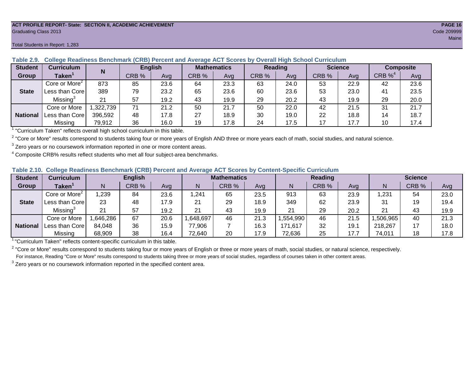#### **ACT PROFILE REPORT- State: SECTION II, ACADEMIC ACHIEVEMENT PAGE 16** Graduating Class 2013 Code 209999

| <b>Student</b>  | <b>Curriculum</b>                                                        | N        | <b>English</b> |      | <b>Mathematics</b> |      | <b>Reading</b> |      | <b>Science</b> |      |          | <b>Composite</b> |
|-----------------|--------------------------------------------------------------------------|----------|----------------|------|--------------------|------|----------------|------|----------------|------|----------|------------------|
| Group           | Taken $^{\scriptscriptstyle\mathsf{T}}$                                  |          | CRB %          | Avg  | CRB %              | Ava  | CRB %          | Avg  | CRB %          | Ava  | $CRB\%4$ | Avg              |
|                 | Core or More <sup>2</sup>                                                | 873      | 85             | 23.6 | 64                 | 23.3 | 63             | 24.0 | 53             | 22.9 | 42       | 23.6             |
| <b>State</b>    | Less than Corel                                                          | 389      | 79             | 23.2 | 65                 | 23.6 | 60             | 23.6 | 53             | 23.0 | 41       | 23.5             |
|                 | Missing <sup>3</sup>                                                     | 21       | 57             | 19.2 | 43                 | 19.9 | 29             | 20.2 | 43             | 19.9 | 29       | 20.0             |
|                 | Core or More                                                             | ,322,739 | 71             | 21.2 | 50                 | 21.7 | 50             | 22.0 | 42             | 21.5 | 31       | 21.7             |
| <b>National</b> | Less than Core                                                           | 396,592  | 48             | 17.8 | 27                 | 18.9 | 30             | 19.0 | 22             | 18.8 | 14       | 18.7             |
|                 | Missing                                                                  | 79,912   | 36             | 16.0 | 19                 | 17.8 | 24             | 17.5 | 17             | 17.7 | 10       | 17.4             |
|                 | "Curriculum Token" reflecte overall bigh school ourriculum in this toble |          |                |      |                    |      |                |      |                |      |          |                  |

#### **Table 2.9. College Readiness Benchmark (CRB) Percent and Average ACT Scores by Overall High School Curriculum**

"Curriculum Taken" reflects overall high school curriculum in this table.

 $^2$  "Core or More" results correspond to students taking four or more years of English AND three or more years each of math, social studies, and natural science.

 $3$  Zero years or no coursework information reported in one or more content areas.

 $4$  Composite CRB% results reflect students who met all four subject-area benchmarks.

#### **Table 2.10. College Readiness Benchmark (CRB) Percent and Average ACT Scores by Content-Specific Curriculum**

| <b>Student</b>  | <b>Curriculum</b>         |          | <b>English</b> |      |          | <b>Mathematics</b> |      |          | <b>Reading</b> |      |          | <b>Science</b> |      |
|-----------------|---------------------------|----------|----------------|------|----------|--------------------|------|----------|----------------|------|----------|----------------|------|
| Group           | <b>Taken</b>              |          | CRB %          | Avg  |          | CRB %              | Avg  | N        | CRB %          | Avg  | N        | CRB %          | Avg  |
|                 | Core or More <sup>2</sup> | ,239     | 84             | 23.6 | 1,241    | 65                 | 23.5 | 913      | 63             | 23.9 | 1,231    | 54             | 23.0 |
| <b>State</b>    | Less than Core            | 23       | 48             | 17.9 | 21       | 29                 | 18.9 | 349      | 62             | 23.9 | 31       |                | 19.4 |
|                 | Missing <sup>3</sup>      | 21       | 57             | 19.2 | 21       | 43                 | 19.9 | 21       | 29             | 20.2 | 21       | 43             | 19.9 |
|                 | Core or More              | ,646,286 | 67             | 20.6 | ,648,697 | 46                 | 21.3 | ,554,990 | 46             | 21.5 | ,506,965 | 40             | 21.3 |
| <b>National</b> | Less than Core            | 84,048   | 36             | 15.9 | 77,906   |                    | 16.3 | 171,617  | 32             | 19.1 | 218,267  |                | 18.0 |
|                 | Missing                   | 68,909   | 38             | 16.4 | 72,640   | 20                 | 17.9 | 72,636   | 25             | 17.7 | 74,011   |                | 17.8 |

<sup>1</sup>"Curriculum Taken" reflects content-specific curriculum in this table.

<sup>2</sup> "Core or More" results correspond to students taking four or more years of English or three or more years of math, social studies, or natural science, respectively. For instance, Reading "Core or More" results correspond to students taking three or more years of social studies, regardless of courses taken in other content areas.

 $3$  Zero years or no coursework information reported in the specified content area.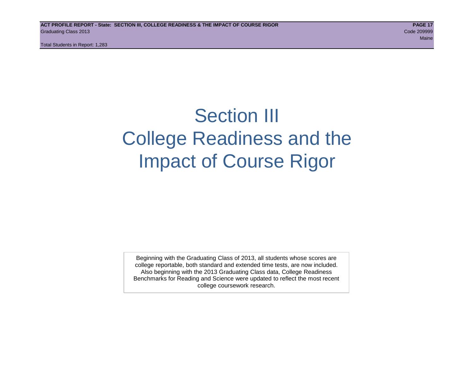Total Students in Report: 1,283

### Section III College Readiness and the Impact of Course Rigor

Beginning with the Graduating Class of 2013, all students whose scores are college reportable, both standard and extended time tests, are now included. Also beginning with the 2013 Graduating Class data, College Readiness Benchmarks for Reading and Science were updated to reflect the most recent college coursework research.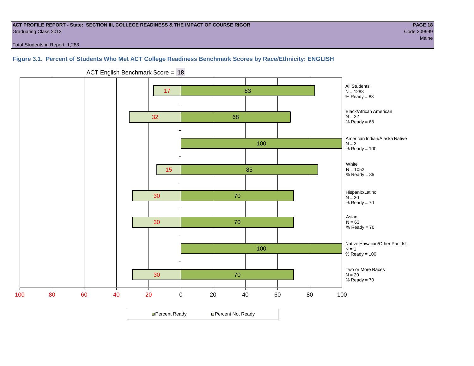#### **ACT PROFILE REPORT - State: SECTION III, COLLEGE READINESS & THE IMPACT OF COURSE RIGOR PAGE 18** Graduating Class 2013 Code 209999

Total Students in Report: 1,283

#### **Figure 3.1. Percent of Students Who Met ACT College Readiness Benchmark Scores by Race/Ethnicity: ENGLISH**



ACT English Benchmark Score = **18**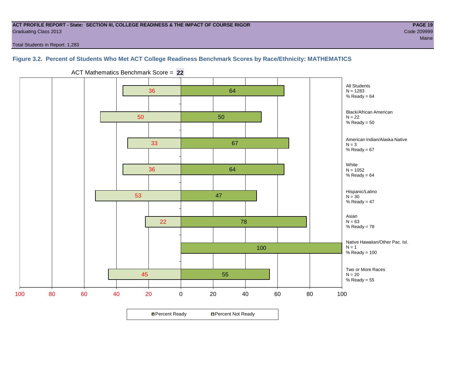#### **ACT PROFILE REPORT - State: SECTION III, COLLEGE READINESS & THE IMPACT OF COURSE RIGOR PAGE 19** Graduating Class 2013 Code 209999

Total Students in Report: 1,283

#### **Figure 3.2. Percent of Students Who Met ACT College Readiness Benchmark Scores by Race/Ethnicity: MATHEMATICS**



ACT Mathematics Benchmark Score = **22**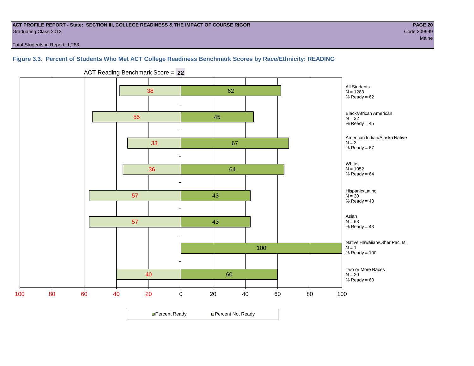#### **ACT PROFILE REPORT - State: SECTION III, COLLEGE READINESS & THE IMPACT OF COURSE RIGOR PAGE 20** Graduating Class 2013 Code 209999

Total Students in Report: 1,283

#### **Figure 3.3. Percent of Students Who Met ACT College Readiness Benchmark Scores by Race/Ethnicity: READING**



ACT Reading Benchmark Score = **22**

**□ Percent Ready DPercent Not Ready**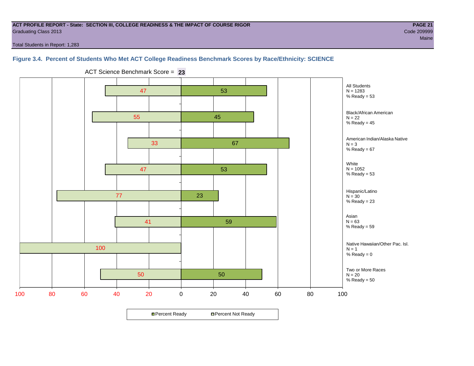#### **ACT PROFILE REPORT - State: SECTION III, COLLEGE READINESS & THE IMPACT OF COURSE RIGOR PAGE 21** Graduating Class 2013 Code 209999

Total Students in Report: 1,283

#### **Figure 3.4. Percent of Students Who Met ACT College Readiness Benchmark Scores by Race/Ethnicity: SCIENCE**



ACT Science Benchmark Score = **23**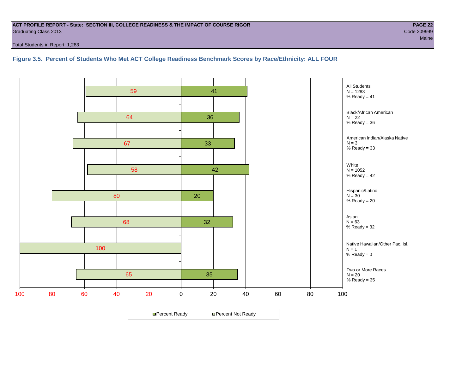#### **ACT PROFILE REPORT - State: SECTION III, COLLEGE READINESS & THE IMPACT OF COURSE RIGOR PAGE 22** Graduating Class 2013 Code 209999

Total Students in Report: 1,283

**Figure 3.5. Percent of Students Who Met ACT College Readiness Benchmark Scores by Race/Ethnicity: ALL FOUR**

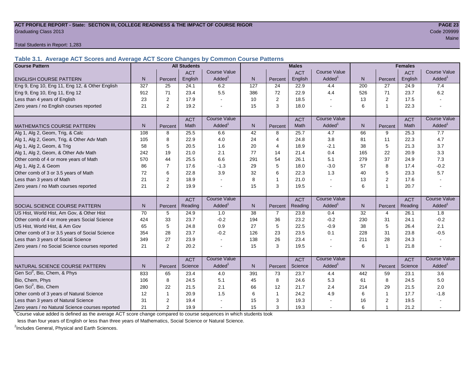#### **ACT PROFILE REPORT - State: SECTION III, COLLEGE READINESS & THE IMPACT OF COURSE RIGOR PAGE 23** Graduating Class 2013 Code 209999

Total Students in Report: 1,283

**Table 3.1. Average ACT Scores and Average ACT Score Changes by Common Course Patterns**

| <b>Course Pattern</b>                            |                |                | <b>All Students</b> |                     |                  |                | <b>Males</b> |                     | <b>Females</b> |                |            |                        |
|--------------------------------------------------|----------------|----------------|---------------------|---------------------|------------------|----------------|--------------|---------------------|----------------|----------------|------------|------------------------|
|                                                  |                |                | <b>ACT</b>          | Course Value        |                  |                | <b>ACT</b>   | Course Value        |                |                | <b>ACT</b> | <b>Course Value</b>    |
| <b>ENGLISH COURSE PATTERN</b>                    | N <sub>1</sub> | Percent        | English             | Added <sup>1</sup>  | N.               | Percent        | English      | Added               | N              | Percent        | English    | Added <sup>1</sup>     |
| Eng 9, Eng 10, Eng 11, Eng 12, & Other English   | 327            | 25             | 24.1                | 6.2                 | $\overline{127}$ | 24             | 22.9         | 4.4                 | 200            | 27             | 24.9       | 7.4                    |
| Eng 9, Eng 10, Eng 11, Eng 12                    | 912            | 71             | 23.4                | 5.5                 | 386              | 72             | 22.9         | 4.4                 | 526            | 71             | 23.7       | 6.2                    |
| Less than 4 years of English                     | 23             | $\overline{2}$ | 17.9                |                     | 10               | 2              | 18.5         |                     | 13             | 2              | 17.5       |                        |
| Zero years / no English courses reported         | 21             | $\mathbf{2}$   | 19.2                |                     | 15               | 3              | 18.0         |                     | 6              | 1              | 22.3       |                        |
|                                                  |                |                | <b>ACT</b>          | <b>Course Value</b> |                  |                | <b>ACT</b>   | <b>Course Value</b> |                |                | <b>ACT</b> | <b>Course Value</b>    |
| <b>MATHEMATICS COURSE PATTERN</b>                | N <sub>1</sub> | Percent        | Math                | Added               | N                | Percent        | Math         | Added               | N              | Percent        | Math       | A d d e d <sup>1</sup> |
| Alg 1, Alg 2, Geom, Trig, & Calc                 | 108            | 8              | 25.5                | 6.6                 | 42               | 8              | 25.7         | 4.7                 | 66             | 9              | 25.3       | 7.7                    |
| Alg 1, Alg 2, Geom, Trig, & Other Adv Math       | 105            | 8              | 22.9                | 4.0                 | 24               | $\overline{4}$ | 24.8         | 3.8                 | 81             | 11             | 22.3       | 4.7                    |
| Alg 1, Alg 2, Geom, & Trig                       | 58             | 5              | 20.5                | 1.6                 | 20               | $\overline{4}$ | 18.9         | $-2.1$              | 38             | 5              | 21.3       | 3.7                    |
| Alg 1, Alg 2, Geom, & Other Adv Math             | 242            | 19             | 21.0                | 2.1                 | 77               | 14             | 21.4         | 0.4                 | 165            | 22             | 20.9       | 3.3                    |
| Other comb of 4 or more years of Math            | 570            | 44             | 25.5                | 6.6                 | 291              | 54             | 26.1         | 5.1                 | 279            | 37             | 24.9       | 7.3                    |
| Alg 1, Alg 2, & Geom                             | 86             | 7              | 17.6                | $-1.3$              | 29               | 5              | 18.0         | $-3.0$              | 57             | 8              | 17.4       | $-0.2$                 |
| Other comb of 3 or 3.5 years of Math             | 72             | 6              | 22.8                | 3.9                 | 32               | 6              | 22.3         | 1.3                 | 40             | 5              | 23.3       | 5.7                    |
| Less than 3 years of Math                        | 21             | 2              | 18.9                |                     | 8                | $\mathbf{1}$   | 21.0         |                     | 13             | $\overline{2}$ | 17.6       |                        |
| Zero years / no Math courses reported            | 21             | 2              | 19.9                |                     | 15               | 3              | 19.5         |                     | 6              | 1              | 20.7       | ÷.                     |
|                                                  |                |                | <b>ACT</b>          | <b>Course Value</b> |                  |                | <b>ACT</b>   | <b>Course Value</b> |                |                | <b>ACT</b> | <b>Course Value</b>    |
| SOCIAL SCIENCE COURSE PATTERN                    | N              | Percent        | Reading             | Added               | $\mathsf{N}$     | Percent        | Reading      | Added               | N              | Percent        | Reading    | Added <sup>1</sup>     |
| US Hist, World Hist, Am Gov, & Other Hist        | 70             | 5              | 24.9                | 1.0                 | 38               | $\overline{7}$ | 23.8         | 0.4                 | 32             | 4              | 26.1       | 1.8                    |
| Other comb of 4 or more years Social Science     | 424            | 33             | 23.7                | $-0.2$              | 194              | 36             | 23.2         | $-0.2$              | 230            | 31             | 24.1       | $-0.2$                 |
| US Hist, World Hist, & Am Gov                    | 65             | 5              | 24.8                | 0.9                 | 27               | 5              | 22.5         | $-0.9$              | 38             | 5              | 26.4       | 2.1                    |
| Other comb of 3 or 3.5 years of Social Science   | 354            | 28             | 23.7                | $-0.2$              | 126              | 23             | 23.5         | 0.1                 | 228            | 31             | 23.8       | $-0.5$                 |
| Less than 3 years of Social Science              | 349            | 27             | 23.9                |                     | 138              | 26             | 23.4         |                     | 211            | 28             | 24.3       |                        |
| Zero years / no Social Science courses reported  | 21             | 2              | 20.2                |                     | 15               | 3              | 19.5         |                     | 6              | $\overline{1}$ | 21.8       | $\sim$                 |
|                                                  |                |                | <b>ACT</b>          | <b>Course Value</b> |                  |                | <b>ACT</b>   | Course Value        |                |                | <b>ACT</b> | <b>Course Value</b>    |
| NATURAL SCIENCE COURSE PATTERN                   | N              | Percent        | Science             | Added               | N                | Percent        | Science      | Added               | N              | Percent        | Science    | A d d e d <sup>1</sup> |
| Gen Sci <sup>2</sup> , Bio, Chem, & Phys         | 833            | 65             | 23.4                | 4.0                 | 391              | 73             | 23.7         | 4.4                 | 442            | 59             | 23.1       | 3.6                    |
| Bio, Chem, Phys                                  | 106            | 8              | 24.5                | 5.1                 | 45               | 8              | 24.6         | 5.3                 | 61             | 8              | 24.5       | 5.0                    |
| Gen Sci <sup>2</sup> , Bio, Chem                 | 280            | 22             | 21.5                | 2.1                 | 66               | 12             | 21.7         | 2.4                 | 214            | 29             | 21.5       | 2.0                    |
| Other comb of 3 years of Natural Science         | 12             | -1             | 20.9                | 1.5                 | 6                | $\mathbf{1}$   | 24.2         | 4.9                 | 6              | $\overline{1}$ | 17.7       | $-1.8$                 |
| Less than 3 years of Natural Science             | 31             | 2              | 19.4                |                     | 15               | 3              | 19.3         |                     | 16             | 2              | 19.5       |                        |
| Zero years / no Natural Science courses reported | 21             | 2              | 19.9                |                     | 15               | 3              | 19.3         |                     | 6              |                | 21.2       |                        |

<sup>1</sup>Course value added is defined as the average ACT score change compared to course sequences in which students took

less than four years of English or less than three years of Mathematics, Social Science or Natural Science.

<sup>2</sup>Includes General, Physical and Earth Sciences.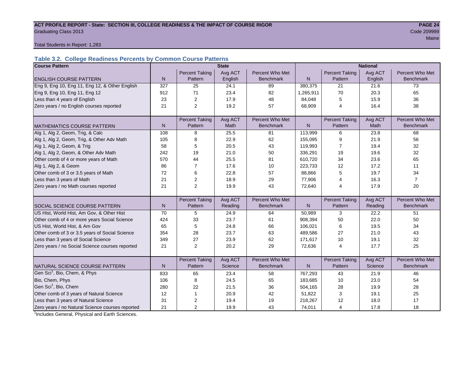#### ACT PROFILE REPORT - State: SECTION III, COLLEGE READINESS & THE IMPACT OF COURSE RIGOR **PAGE 24 Graduating Class 2013** Code 209999 Code 200999 Code 200999 Code 200999 Code 200999 Code 200999 Code 200999 Code 200999 Code 200999 Code 200999 Code 200999 Code 200999 Code 200999 Code 200999 Code 200999 Code 200999 Code 2

Maine and the contract of the contract of the contract of the contract of the contract of the contract of the contract of the contract of the contract of the contract of the contract of the contract of the contract of the

Total Students in Report: 1,283

#### **Table 3.2. College Readiness Percents by Common Course Patterns**

| <b>Course Pattern</b>                            |              |                       | <b>State</b> |                  |              | <b>National</b>       |         |                  |  |  |
|--------------------------------------------------|--------------|-----------------------|--------------|------------------|--------------|-----------------------|---------|------------------|--|--|
|                                                  |              | <b>Percent Taking</b> | Avg ACT      | Percent Who Met  |              | <b>Percent Taking</b> | Avg ACT | Percent Who Met  |  |  |
| <b>ENGLISH COURSE PATTERN</b>                    | $\mathsf{N}$ | Pattern               | English      | <b>Benchmark</b> | $\mathsf{N}$ | Pattern               | English | <b>Benchmark</b> |  |  |
| Eng 9, Eng 10, Eng 11, Eng 12, & Other English   | 327          | 25                    | 24.1         | 89               | 380,375      | 21                    | 21.6    | 73               |  |  |
| Eng 9, Eng 10, Eng 11, Eng 12                    | 912          | 71                    | 23.4         | 82               | 1,265,911    | 70                    | 20.3    | 65               |  |  |
| Less than 4 years of English                     | 23           | 2                     | 17.9         | 48               | 84,048       | 5                     | 15.9    | 36               |  |  |
| Zero years / no English courses reported         | 21           | $\overline{2}$        | 19.2         | 57               | 68,909       | 4                     | 16.4    | 38               |  |  |
|                                                  |              |                       |              |                  |              |                       |         |                  |  |  |
|                                                  |              | <b>Percent Taking</b> | Avg ACT      | Percent Who Met  |              | <b>Percent Taking</b> | Avg ACT | Percent Who Met  |  |  |
| <b>MATHEMATICS COURSE PATTERN</b>                | $\mathsf{N}$ | Pattern               | Math         | <b>Benchmark</b> | $\mathsf{N}$ | Pattern               | Math    | <b>Benchmark</b> |  |  |
| Alg 1, Alg 2, Geom, Trig, & Calc                 | 108          | 8                     | 25.5         | 81               | 113,999      | 6                     | 23.8    | 68               |  |  |
| Alg 1, Alg 2, Geom, Trig, & Other Adv Math       | 105          | 8                     | 22.9         | 62               | 155,095      | 9                     | 21.9    | 56               |  |  |
| Alg 1, Alg 2, Geom, & Trig                       | 58           | 5                     | 20.5         | 43               | 119,993      | $\overline{7}$        | 19.4    | 32               |  |  |
| Alg 1, Alg 2, Geom, & Other Adv Math             | 242          | 19                    | 21.0         | 50               | 336,291      | 19                    | 19.6    | 32               |  |  |
| Other comb of 4 or more years of Math            | 570          | 44                    | 25.5         | 81               | 610,720      | 34                    | 23.6    | 65               |  |  |
| Alg 1, Alg 2, & Geom                             | 86           | $\overline{7}$        | 17.6         | 10               | 223,733      | 12                    | 17.2    | 11               |  |  |
| Other comb of 3 or 3.5 years of Math             | 72           | 6                     | 22.8         | 57               | 88,866       | 5                     | 19.7    | 34               |  |  |
| Less than 3 years of Math                        | 21           | 2                     | 18.9         | 29               | 77,906       | 4                     | 16.3    | $\overline{7}$   |  |  |
| Zero years / no Math courses reported            | 21           | $\overline{2}$        | 19.9         | 43               | 72,640       | 4                     | 17.9    | 20               |  |  |
|                                                  |              |                       |              |                  |              |                       |         |                  |  |  |
|                                                  |              | <b>Percent Taking</b> | Avg ACT      | Percent Who Met  |              | <b>Percent Taking</b> | Avg ACT | Percent Who Met  |  |  |
| SOCIAL SCIENCE COURSE PATTERN                    | N            | Pattern               | Reading      | <b>Benchmark</b> | N            | Pattern               | Reading | <b>Benchmark</b> |  |  |
| US Hist, World Hist, Am Gov, & Other Hist        | 70           | 5                     | 24.9         | 64               | 50,989       | 3                     | 22.2    | 51               |  |  |
| Other comb of 4 or more years Social Science     | 424          | 33                    | 23.7         | 61               | 908,394      | 50                    | 22.0    | 50               |  |  |
| US Hist, World Hist, & Am Gov                    | 65           | 5                     | 24.8         | 66               | 106,021      | 6                     | 19.5    | 34               |  |  |
| Other comb of 3 or 3.5 years of Social Science   | 354          | 28                    | 23.7         | 63               | 489.586      | 27                    | 21.0    | 43               |  |  |
| Less than 3 years of Social Science              | 349          | 27                    | 23.9         | 62               | 171,617      | 10                    | 19.1    | 32               |  |  |
| Zero years / no Social Science courses reported  | 21           | 2                     | 20.2         | 29               | 72,636       | 4                     | 17.7    | 25               |  |  |
|                                                  |              |                       |              |                  |              |                       |         |                  |  |  |
|                                                  |              | <b>Percent Taking</b> | Avg ACT      | Percent Who Met  |              | <b>Percent Taking</b> | Avg ACT | Percent Who Met  |  |  |
| NATURAL SCIENCE COURSE PATTERN                   | N            | Pattern               | Science      | <b>Benchmark</b> | N            | Pattern               | Science | <b>Benchmark</b> |  |  |
| Gen Sci <sup>1</sup> , Bio, Chem, & Phys         | 833          | 65                    | 23.4         | 58               | 767,293      | 43                    | 21.9    | 46               |  |  |
| Bio, Chem, Phys                                  | 106          | 8                     | 24.5         | 65               | 183,685      | 10                    | 23.0    | 54               |  |  |
| Gen Sci <sup>1</sup> , Bio, Chem                 | 280          | 22                    | 21.5         | 36               | 504,165      | 28                    | 19.9    | 28               |  |  |
| Other comb of 3 years of Natural Science         | 12           | 1                     | 20.9         | 42               | 51,822       | 3                     | 19.1    | 25               |  |  |
| Less than 3 years of Natural Science             | 31           | 2                     | 19.4         | 19               | 218,267      | 12                    | 18.0    | 17               |  |  |
| Zero years / no Natural Science courses reported | 21           | $\overline{2}$        | 19.9         | 43               | 74,011       | 4                     | 17.8    | 18               |  |  |

<sup>1</sup>Includes General, Physical and Earth Sciences.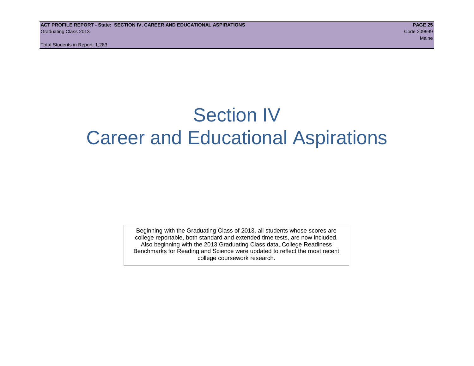Total Students in Report: 1,283

### Section IV Career and Educational Aspirations

Beginning with the Graduating Class of 2013, all students whose scores are college reportable, both standard and extended time tests, are now included. Also beginning with the 2013 Graduating Class data, College Readiness Benchmarks for Reading and Science were updated to reflect the most recent college coursework research.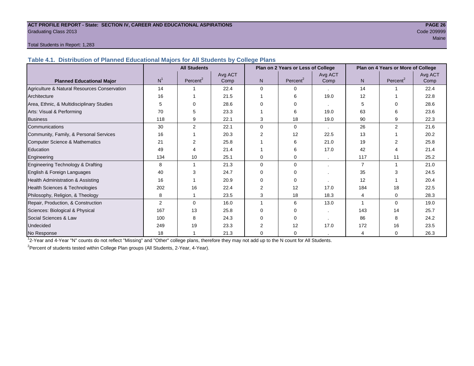#### **ACT PROFILE REPORT - State: SECTION IV, CAREER AND EDUCATIONAL ASPIRATIONS PAGE 26** Graduating Class 2013 Code 209999

### Maine and the contract of the contract of the contract of the contract of the contract of the contract of the contract of the contract of the contract of the contract of the contract of the contract of the contract of the

#### Total Students in Report: 1,283

**Table 4.1. Distribution of Planned Educational Majors for All Students by College Plans**

|                                              | <b>All Students</b><br>Plan on 2 Years or Less of College |                      |         |                |                      |         | Plan on 4 Years or More of College |                      |         |
|----------------------------------------------|-----------------------------------------------------------|----------------------|---------|----------------|----------------------|---------|------------------------------------|----------------------|---------|
|                                              | N <sup>1</sup>                                            |                      | Avg ACT |                |                      | Avg ACT |                                    |                      | Avg ACT |
| <b>Planned Educational Major</b>             |                                                           | Percent <sup>2</sup> | Comp    | N              | Percent <sup>2</sup> | Comp    | N                                  | Percent <sup>2</sup> | Comp    |
| Agriculture & Natural Resources Conservation | 14                                                        |                      | 22.4    | $\Omega$       | $\Omega$             |         | 14                                 |                      | 22.4    |
| Architecture                                 | 16                                                        |                      | 21.5    |                | 6                    | 19.0    | 12                                 |                      | 22.8    |
| Area, Ethnic, & Multidisciplinary Studies    |                                                           | 0                    | 28.6    |                | 0                    | $\cdot$ | 5                                  | 0                    | 28.6    |
| Arts: Visual & Performing                    | 70                                                        | 5                    | 23.3    |                | 6                    | 19.0    | 63                                 | ี                    | 23.6    |
| <b>Business</b>                              | 118                                                       | 9                    | 22.1    | 3              | 18                   | 19.0    | 90                                 | 9                    | 22.3    |
| Communications                               | 30                                                        | $\overline{2}$       | 22.1    | $\Omega$       | $\Omega$             | $\cdot$ | 26                                 | 2                    | 21.6    |
| Community, Family, & Personal Services       | 16                                                        |                      | 20.3    | $\overline{2}$ | 12                   | 22.5    | 13                                 |                      | 20.2    |
| <b>Computer Science &amp; Mathematics</b>    | 21                                                        | 2                    | 25.8    |                | 6                    | 21.0    | 19                                 |                      | 25.8    |
| Education                                    | 49                                                        |                      | 21.4    |                | 6                    | 17.0    | 42                                 | 4                    | 21.4    |
| Engineering                                  | 134                                                       | 10                   | 25.1    | $\Omega$       | 0                    |         | 117                                | 11                   | 25.2    |
| Engineering Technology & Drafting            | 8                                                         |                      | 21.3    | $\Omega$       | $\Omega$             |         | $\overline{7}$                     |                      | 21.0    |
| English & Foreign Languages                  | 40                                                        | 3                    | 24.7    | $\Omega$       | $\Omega$             |         | 35                                 | 3                    | 24.5    |
| Health Administration & Assisting            | 16                                                        |                      | 20.9    | 0              | 0                    |         | 12                                 |                      | 20.4    |
| Health Sciences & Technologies               | 202                                                       | 16                   | 22.4    | 2              | 12                   | 17.0    | 184                                | 18                   | 22.5    |
| Philosophy, Religion, & Theology             | 8                                                         |                      | 23.5    | 3              | 18                   | 18.3    | 4                                  | $\Omega$             | 28.3    |
| Repair, Production, & Construction           | 2                                                         | $\Omega$             | 16.0    |                | 6                    | 13.0    |                                    | $\Omega$             | 19.0    |
| Sciences: Biological & Physical              | 167                                                       | 13                   | 25.8    | ∩              | $\Omega$             | $\cdot$ | 143                                | 14                   | 25.7    |
| Social Sciences & Law                        | 100                                                       | 8                    | 24.3    | 0              | $\Omega$             |         | 86                                 | 8                    | 24.2    |
| Undecided                                    | 249                                                       | 19                   | 23.3    |                | 12                   | 17.0    | 172                                | 16                   | 23.5    |
| No Response                                  | 18                                                        |                      | 21.3    | $\Omega$       | 0                    |         | $\overline{4}$                     | 0                    | 26.3    |

1 2-Year and 4-Year "N" counts do not reflect "Missing" and "Other" college plans, therefore they may not add up to the N count for All Students.

<sup>2</sup> Percent of students tested within College Plan groups (All Students, 2-Year, 4-Year).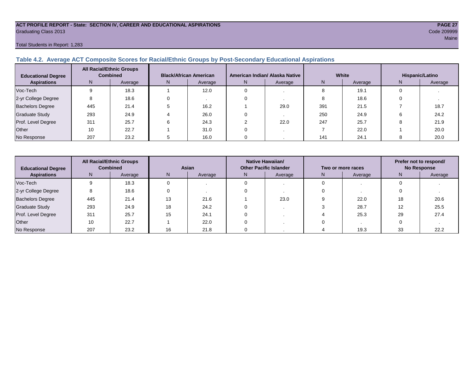#### **ACT PROFILE REPORT - State: SECTION IV, CAREER AND EDUCATIONAL ASPIRATIONS PAGE 27** Graduating Class 2013 Code 209999

#### Total Students in Report: 1,283

#### **Table 4.2. Average ACT Composite Scores for Racial/Ethnic Groups by Post-Secondary Educational Aspirations**

| <b>Educational Degree</b> | <b>All Racial/Ethnic Groups</b><br><b>Combined</b> |         | <b>Black/African American</b> |         |   | American Indian/ Alaska Native |     | White   | Hispanic/Latino |         |  |
|---------------------------|----------------------------------------------------|---------|-------------------------------|---------|---|--------------------------------|-----|---------|-----------------|---------|--|
| <b>Aspirations</b>        | N.                                                 | Average | N.                            | Average | N | Average                        | N   | Average | N               | Average |  |
| Voc-Tech                  |                                                    | 18.3    |                               | 12.0    |   |                                |     | 19.1    |                 |         |  |
| 2-yr College Degree       |                                                    | 18.6    |                               |         |   |                                |     | 18.6    |                 |         |  |
| <b>Bachelors Degree</b>   | 445                                                | 21.4    |                               | 16.2    |   | 29.0                           | 391 | 21.5    |                 | 18.7    |  |
| <b>Graduate Study</b>     | 293                                                | 24.9    |                               | 26.0    |   |                                | 250 | 24.9    |                 | 24.2    |  |
| Prof. Level Degree        | 311                                                | 25.7    |                               | 24.3    |   | 22.0                           | 247 | 25.7    |                 | 21.9    |  |
| Other                     | 10                                                 | 22.7    |                               | 31.0    |   |                                |     | 22.0    |                 | 20.0    |  |
| No Response               | 207                                                | 23.2    |                               | 16.0    |   |                                | 141 | 24.1    |                 | 20.0    |  |

| <b>All Racial/Ethnic Groups</b><br><b>Combined</b><br><b>Educational Degree</b> |     | Asian   |                               | Native Hawaiian/<br><b>Other Pacific Islander</b> |               | Two or more races | Prefer not to respond/<br><b>No Response</b> |         |      |
|---------------------------------------------------------------------------------|-----|---------|-------------------------------|---------------------------------------------------|---------------|-------------------|----------------------------------------------|---------|------|
| <b>Aspirations</b>                                                              | N.  | Average | N<br>Average<br>Average<br>N. |                                                   | N.<br>Average |                   | N.                                           | Average |      |
| Voc-Tech                                                                        |     | 18.3    |                               |                                                   |               |                   |                                              |         |      |
| 2-yr College Degree                                                             |     | 18.6    |                               |                                                   |               |                   |                                              |         |      |
| <b>Bachelors Degree</b>                                                         | 445 | 21.4    | 13                            | 21.6                                              | 23.0          |                   | 22.0                                         | 18      | 20.6 |
| <b>Graduate Study</b>                                                           | 293 | 24.9    | 18                            | 24.2                                              |               |                   | 28.7                                         |         | 25.5 |
| Prof. Level Degree                                                              | 311 | 25.7    | 15                            | 24.1                                              |               |                   | 25.3                                         | 29      | 27.4 |
| Other                                                                           | 10  | 22.7    |                               | 22.0                                              |               |                   |                                              |         |      |
| No Response                                                                     | 207 | 23.2    | 16                            | 21.8                                              |               |                   | 19.3                                         | 33      | 22.2 |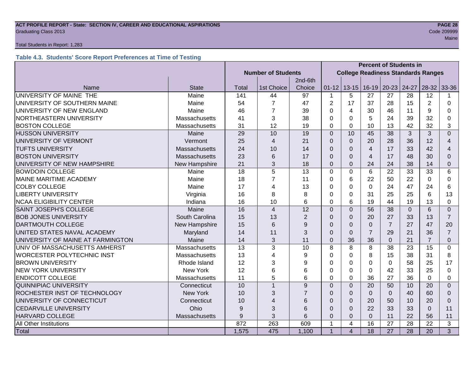#### **ACT PROFILE REPORT - State: SECTION IV, CAREER AND EDUCATIONAL ASPIRATIONS PAGE 28** Code 209999 Craduating Class 2013

#### Total Students in Report: 1,283

#### **Table 4.3. Students' Score Report Preferences at Time of Testing**

|                                      |                 |                           | <b>Percent of Students in</b>             |                |                |                |                |                |                 |                |                          |
|--------------------------------------|-----------------|---------------------------|-------------------------------------------|----------------|----------------|----------------|----------------|----------------|-----------------|----------------|--------------------------|
|                                      |                 | <b>Number of Students</b> | <b>College Readiness Standards Ranges</b> |                |                |                |                |                |                 |                |                          |
|                                      |                 |                           |                                           |                |                |                |                |                |                 |                |                          |
| Name                                 | <b>State</b>    | Total                     | 1st Choice                                | Choice         | $01 - 12$      | $13 - 15$      | $16 - 19$      | $20 - 23$      | 24-27           | $28 - 32$      | 33-36                    |
| UNIVERSITY OF MAINE THE              | Maine           | 141                       | 44                                        | 97             | 1              | 5              | 27             | 27             | 28              | 12             |                          |
| UNIVERSITY OF SOUTHERN MAINE         | Maine           | 54                        | $\overline{7}$                            | 47             | $\overline{2}$ | 17             | 37             | 28             | 15              | $\overline{2}$ | $\Omega$                 |
| UNIVERSITY OF NEW ENGLAND            | Maine           | 46                        | 7                                         | 39             | 0              | 4              | 30             | 46             | 11              | 9              | 0                        |
| NORTHEASTERN UNIVERSITY              | Massachusetts   | 41                        | 3                                         | 38             | 0              | $\Omega$       | 5              | 24             | 39              | 32             | 0                        |
| <b>BOSTON COLLEGE</b>                | Massachusetts   | 31                        | 12                                        | 19             | $\Omega$       | $\Omega$       | 10             | 13             | 42              | 32             | 3                        |
| <b>HUSSON UNIVERSITY</b>             | Maine           | 29                        | 10                                        | 19             | $\Omega$       | 10             | 45             | 38             | 3               | 3              | $\Omega$                 |
| UNIVERSITY OF VERMONT                | Vermont         | 25                        | 4                                         | 21             | $\Omega$       | $\overline{0}$ | 20             | 28             | 36              | 12             | $\overline{\mathcal{A}}$ |
| <b>TUFTS UNIVERSITY</b>              | Massachusetts   | 24                        | 10                                        | 14             | $\Omega$       | $\Omega$       | $\overline{4}$ | 17             | 33              | 42             | 4                        |
| <b>BOSTON UNIVERSITY</b>             | Massachusetts   | 23                        | 6                                         | 17             | $\Omega$       | $\Omega$       | $\overline{4}$ | 17             | 48              | 30             | $\Omega$                 |
| UNIVERSITY OF NEW HAMPSHIRE          | New Hampshire   | 21                        | 3                                         | 18             | $\mathbf 0$    | $\mathbf 0$    | 24             | 24             | 38              | 14             | 0                        |
| <b>BOWDOIN COLLEGE</b>               | Maine           | 18                        | 5                                         | 13             | $\Omega$       | $\mathbf 0$    | 6              | 22             | 33              | 33             | 6                        |
| <b>MAINE MARITIME ACADEMY</b>        | Maine           | 18                        | $\overline{7}$                            | 11             | $\Omega$       | 6              | 22             | 50             | 22              | $\Omega$       | 0                        |
| <b>COLBY COLLEGE</b>                 | Maine           | 17                        | 4                                         | 13             | 0              | $\Omega$       | $\Omega$       | 24             | 47              | 24             | 6                        |
| <b>LIBERTY UNIVERSITY</b>            | Virginia        | 16                        | 8                                         | 8              | $\Omega$       | $\Omega$       | 31             | 25             | 25              | 6              | 13                       |
| <b>NCAA ELIGIBILITY CENTER</b>       | Indiana         | 16                        | 10                                        | 6              | $\Omega$       | 6              | 19             | 44             | 19              | 13             | 0                        |
| <b>SAINT JOSEPH'S COLLEGE</b>        | Maine           | 16                        | $\overline{4}$                            | 12             | $\overline{0}$ | $\overline{0}$ | 56             | 38             | $\overline{0}$  | 6              | $\overline{0}$           |
| <b>BOB JONES UNIVERSITY</b>          | South Carolina  | 15                        | 13                                        | $\overline{2}$ | $\Omega$       | $\Omega$       | 20             | 27             | 33              | 13             | $\overline{7}$           |
| <b>DARTMOUTH COLLEGE</b>             | New Hampshire   | 15                        | 6                                         | 9              | $\Omega$       | $\Omega$       | $\Omega$       | $\overline{7}$ | 27              | 47             | 20                       |
| UNITED STATES NAVAL ACADEMY          | Maryland        | 14                        | 11                                        | 3              | $\Omega$       | $\Omega$       | $\overline{7}$ | 29             | 21              | 36             | $\overline{7}$           |
| UNIVERSITY OF MAINE AT FARMINGTON    | Maine           | 14                        | 3                                         | 11             | $\Omega$       | 36             | 36             | $\mathbf{0}$   | 21              | $\overline{7}$ | $\Omega$                 |
| UNIV OF MASSACHUSETTS AMHERST        | Massachusetts   | 13                        | 3                                         | 10             | 8              | 8              | 8              | 38             | 23              | 15             | 0                        |
| <b>WORCESTER POLYTECHNIC INST</b>    | Massachusetts   | 13                        | 4                                         | 9              | 0              | $\mathbf 0$    | 8              | 15             | 38              | 31             | 8                        |
| <b>BROWN UNIVERSITY</b>              | Rhode Island    | 12                        | 3                                         | 9              | 0              | 0              | $\Omega$       | $\Omega$       | 58              | 25             | 17                       |
| <b>NEW YORK UNIVERSITY</b>           | <b>New York</b> | 12                        | 6                                         | 6              | 0              | 0              | 0              | 42             | 33              | 25             | 0                        |
| <b>ENDICOTT COLLEGE</b>              | Massachusetts   | 11                        | 5                                         | 6              | $\Omega$       | $\Omega$       | 36             | 27             | 36              | $\Omega$       | $\Omega$                 |
| <b>QUINNIPIAC UNIVERSITY</b>         | Connecticut     | 10                        | $\overline{1}$                            | 9              | $\Omega$       | $\Omega$       | 20             | 50             | 10              | 20             | $\Omega$                 |
| ROCHESTER INST OF TECHNOLOGY         | <b>New York</b> | 10                        | 3                                         | $\overline{7}$ | $\Omega$       | $\Omega$       | $\Omega$       | $\Omega$       | 40              | 60             | $\Omega$                 |
| UNIVERSITY OF CONNECTICUT            | Connecticut     | 10                        | $\overline{4}$                            | 6              | $\Omega$       | $\mathbf 0$    | 20             | 50             | 10              | 20             | $\Omega$                 |
| <b>CEDARVILLE UNIVERSITY</b><br>Ohio |                 | 9                         | 3                                         | 6              | $\Omega$       | $\Omega$       | 22             | 33             | 33              | $\Omega$       | 11                       |
| <b>HARVARD COLLEGE</b>               | Massachusetts   | 9                         | 3                                         | 6              | 0              | $\Omega$       | $\mathbf 0$    | 11             | 22              | 56             | 11                       |
| <b>All Other Institutions</b>        |                 | 872                       | 263                                       | 609            | $\mathbf 1$    | $\overline{4}$ | 16             | 27             | 28              | 22             | 3                        |
| Total                                |                 | 1,575                     | 475                                       | 1,100          | 1              | $\overline{4}$ | 18             | 27             | $\overline{28}$ | 20             | 3                        |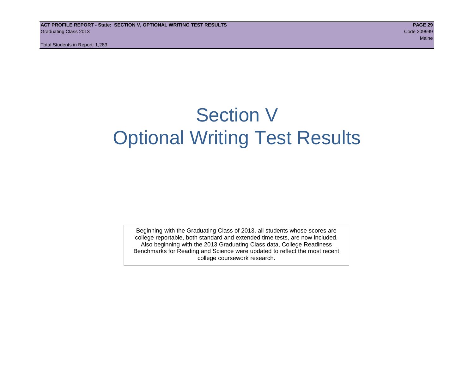Total Students in Report: 1,283

## Section V Optional Writing Test Results

Beginning with the Graduating Class of 2013, all students whose scores are college reportable, both standard and extended time tests, are now included. Also beginning with the 2013 Graduating Class data, College Readiness Benchmarks for Reading and Science were updated to reflect the most recent college coursework research.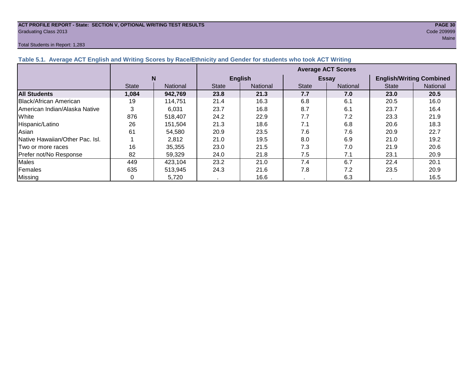#### **ACT PROFILE REPORT - State: SECTION V, OPTIONAL WRITING TEST RESULTS PAGE 30** Graduating Class 2013 Code 209999

#### Total Students in Report: 1,283

| $\frac{1}{2}$ and $\frac{1}{2}$ . The map the final measured by the second by the second to compute the term of the second |                           |                 |              |                 |              |                 |                                 |                 |  |  |  |
|----------------------------------------------------------------------------------------------------------------------------|---------------------------|-----------------|--------------|-----------------|--------------|-----------------|---------------------------------|-----------------|--|--|--|
|                                                                                                                            | <b>Average ACT Scores</b> |                 |              |                 |              |                 |                                 |                 |  |  |  |
|                                                                                                                            |                           | N               |              | <b>English</b>  |              | <b>Essay</b>    | <b>English/Writing Combined</b> |                 |  |  |  |
|                                                                                                                            | <b>State</b>              | <b>National</b> | <b>State</b> | <b>National</b> | <b>State</b> | <b>National</b> | <b>State</b>                    | <b>National</b> |  |  |  |
| <b>All Students</b>                                                                                                        | 1,084                     | 942,769         | 23.8         | 21.3            | 7.7          | 7.0             | 23.0                            | 20.5            |  |  |  |
| Black/African American                                                                                                     | 19                        | 114,751         | 21.4         | 16.3            | 6.8          | 6.1             | 20.5                            | 16.0            |  |  |  |
| American Indian/Alaska Native                                                                                              |                           | 6.031           | 23.7         | 16.8            | 8.7          | 6.1             | 23.7                            | 16.4            |  |  |  |
| White                                                                                                                      | 876                       | 518,407         | 24.2         | 22.9            | 7.7          | 7.2             | 23.3                            | 21.9            |  |  |  |
| Hispanic/Latino                                                                                                            | 26                        | 151,504         | 21.3         | 18.6            | 7.1          | 6.8             | 20.6                            | 18.3            |  |  |  |
| Asian                                                                                                                      | 61                        | 54,580          | 20.9         | 23.5            | 7.6          | 7.6             | 20.9                            | 22.7            |  |  |  |
| Native Hawaiian/Other Pac. Isl.                                                                                            |                           | 2,812           | 21.0         | 19.5            | 8.0          | 6.9             | 21.0                            | 19.2            |  |  |  |
| Two or more races                                                                                                          | 16                        | 35,355          | 23.0         | 21.5            | 7.3          | 7.0             | 21.9                            | 20.6            |  |  |  |
| Prefer not/No Response                                                                                                     | 82                        | 59,329          | 24.0         | 21.8            | 7.5          | 7.1             | 23.1                            | 20.9            |  |  |  |
| <b>Males</b>                                                                                                               | 449                       | 423,104         | 23.2         | 21.0            | 7.4          | 6.7             | 22.4                            | 20.1            |  |  |  |
| Females                                                                                                                    | 635                       | 513,945         | 24.3         | 21.6            | 7.8          | 7.2             | 23.5                            | 20.9            |  |  |  |
| Missing                                                                                                                    | 0                         | 5,720           |              | 16.6            |              | 6.3             |                                 | 16.5            |  |  |  |

#### **Table 5.1. Average ACT English and Writing Scores by Race/Ethnicity and Gender for students who took ACT Writing**